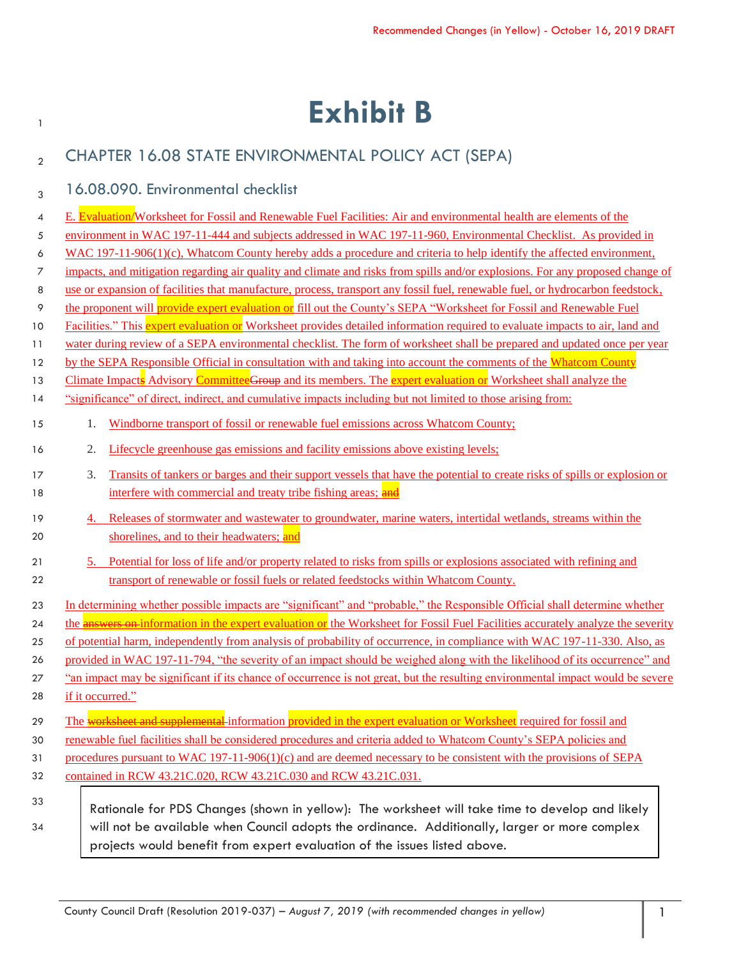# <sup>1</sup> **Exhibit B**

| $\overline{2}$ |                  | CHAPTER 16.08 STATE ENVIRONMENTAL POLICY ACT (SEPA)                                                                                                                                                                                   |  |
|----------------|------------------|---------------------------------------------------------------------------------------------------------------------------------------------------------------------------------------------------------------------------------------|--|
| 3              |                  | 16.08.090. Environmental checklist                                                                                                                                                                                                    |  |
|                |                  |                                                                                                                                                                                                                                       |  |
| 4              |                  | E. Evaluation/Worksheet for Fossil and Renewable Fuel Facilities: Air and environmental health are elements of the<br>environment in WAC 197-11-444 and subjects addressed in WAC 197-11-960, Environmental Checklist. As provided in |  |
| 5              |                  | WAC $197-11-906(1)(c)$ , Whatcom County hereby adds a procedure and criteria to help identify the affected environment,                                                                                                               |  |
| 6<br>7         |                  | impacts, and mitigation regarding air quality and climate and risks from spills and/or explosions. For any proposed change of                                                                                                         |  |
| 8              |                  | use or expansion of facilities that manufacture, process, transport any fossil fuel, renewable fuel, or hydrocarbon feedstock,                                                                                                        |  |
| 9              |                  | the proponent will provide expert evaluation or fill out the County's SEPA "Worksheet for Fossil and Renewable Fuel                                                                                                                   |  |
| 10             |                  | Facilities." This expert evaluation or Worksheet provides detailed information required to evaluate impacts to air, land and                                                                                                          |  |
| 11             |                  | water during review of a SEPA environmental checklist. The form of worksheet shall be prepared and updated once per year                                                                                                              |  |
| 12             |                  | by the SEPA Responsible Official in consultation with and taking into account the comments of the Whatcom County                                                                                                                      |  |
| 13             |                  | Climate Impacts Advisory Committee Group and its members. The expert evaluation or Worksheet shall analyze the                                                                                                                        |  |
| 14             |                  | "significance" of direct, indirect, and cumulative impacts including but not limited to those arising from:                                                                                                                           |  |
| 15             | 1.               | Windborne transport of fossil or renewable fuel emissions across Whatcom County;                                                                                                                                                      |  |
| 16             | 2.               | Lifecycle greenhouse gas emissions and facility emissions above existing levels;                                                                                                                                                      |  |
| 17             | 3.               | Transits of tankers or barges and their support vessels that have the potential to create risks of spills or explosion or                                                                                                             |  |
| 18             |                  | interfere with commercial and treaty tribe fishing areas; and                                                                                                                                                                         |  |
| 19             | 4.               | Releases of stormwater and wastewater to groundwater, marine waters, intertidal wetlands, streams within the                                                                                                                          |  |
| 20             |                  | shorelines, and to their headwaters; and                                                                                                                                                                                              |  |
| 21             | 5.               | Potential for loss of life and/or property related to risks from spills or explosions associated with refining and                                                                                                                    |  |
| 22             |                  | transport of renewable or fossil fuels or related feedstocks within Whatcom County.                                                                                                                                                   |  |
| 23             |                  | In determining whether possible impacts are "significant" and "probable," the Responsible Official shall determine whether                                                                                                            |  |
| 24             |                  | the answers on information in the expert evaluation or the Worksheet for Fossil Fuel Facilities accurately analyze the severity                                                                                                       |  |
| 25             |                  | of potential harm, independently from analysis of probability of occurrence, in compliance with WAC 197-11-330. Also, as                                                                                                              |  |
| 26             |                  | provided in WAC 197-11-794, "the severity of an impact should be weighed along with the likelihood of its occurrence" and                                                                                                             |  |
| 27             |                  | an impact may be significant if its chance of occurrence is not great, but the resulting environmental impact would be severe                                                                                                         |  |
| 28             | if it occurred." |                                                                                                                                                                                                                                       |  |
| 29             |                  | The worksheet and supplemental information provided in the expert evaluation or Worksheet required for fossil and                                                                                                                     |  |
| 30             |                  | renewable fuel facilities shall be considered procedures and criteria added to Whatcom County's SEPA policies and                                                                                                                     |  |
| 31             |                  | procedures pursuant to WAC $197-11-906(1)(c)$ and are deemed necessary to be consistent with the provisions of SEPA                                                                                                                   |  |
| 32             |                  | contained in RCW 43.21C.020, RCW 43.21C.030 and RCW 43.21C.031.                                                                                                                                                                       |  |
| 33             |                  |                                                                                                                                                                                                                                       |  |
| 34             |                  | Rationale for PDS Changes (shown in yellow): The worksheet will take time to develop and likely<br>will not be available when Council adopts the ordinance. Additionally, larger or more complex                                      |  |
|                |                  | projects would benefit from expert evaluation of the issues listed above.                                                                                                                                                             |  |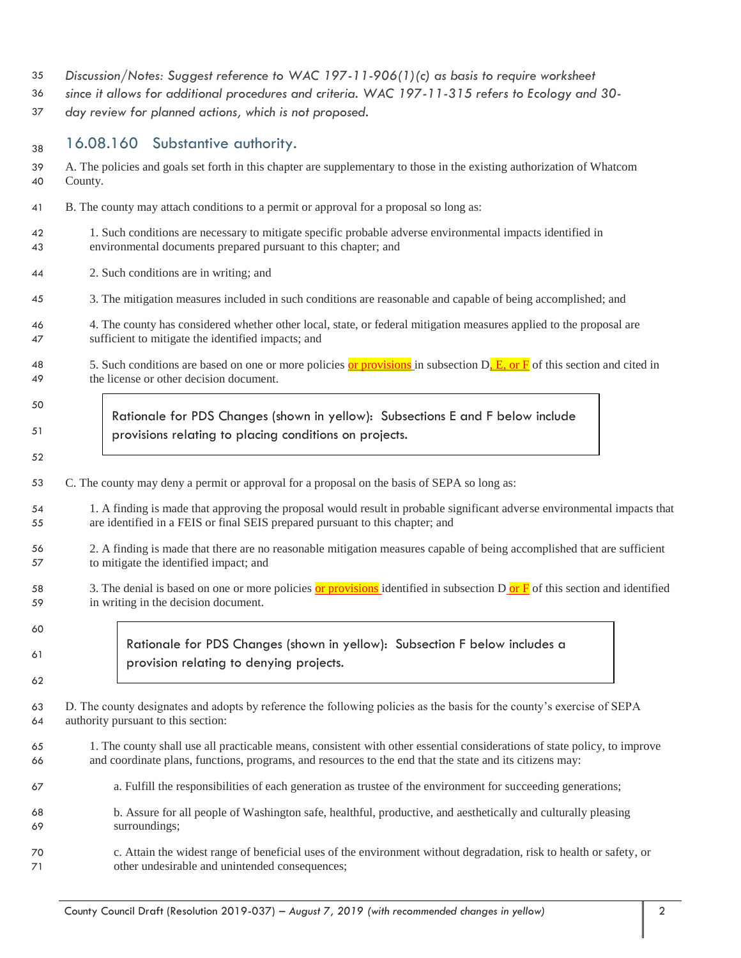- *Discussion/Notes: Suggest reference to WAC 197-11-906(1)(c) as basis to require worksheet*
- *since it allows for additional procedures and criteria. WAC 197-11-315 refers to Ecology and 30-*
- *day review for planned actions, which is not proposed.*

38 16.08.160 Substantive authority.

| 39 | A. The policies and goals set forth in this chapter are supplementary to those in the existing authorization of Whatcom         |  |  |
|----|---------------------------------------------------------------------------------------------------------------------------------|--|--|
| 40 | County.                                                                                                                         |  |  |
| 41 | B. The county may attach conditions to a permit or approval for a proposal so long as:                                          |  |  |
| 42 | 1. Such conditions are necessary to mitigate specific probable adverse environmental impacts identified in                      |  |  |
| 43 | environmental documents prepared pursuant to this chapter; and                                                                  |  |  |
| 44 | 2. Such conditions are in writing; and                                                                                          |  |  |
| 45 | 3. The mitigation measures included in such conditions are reasonable and capable of being accomplished; and                    |  |  |
| 46 | 4. The county has considered whether other local, state, or federal mitigation measures applied to the proposal are             |  |  |
| 47 | sufficient to mitigate the identified impacts; and                                                                              |  |  |
| 48 | 5. Such conditions are based on one or more policies or provisions in subsection $Dr E0$ or $F0$ of this section and cited in   |  |  |
| 49 | the license or other decision document.                                                                                         |  |  |
| 50 | Rationale for PDS Changes (shown in yellow): Subsections E and F below include                                                  |  |  |
| 51 | provisions relating to placing conditions on projects.                                                                          |  |  |
| 52 |                                                                                                                                 |  |  |
| 53 | C. The county may deny a permit or approval for a proposal on the basis of SEPA so long as:                                     |  |  |
| 54 | 1. A finding is made that approving the proposal would result in probable significant adverse environmental impacts that        |  |  |
| 55 | are identified in a FEIS or final SEIS prepared pursuant to this chapter; and                                                   |  |  |
| 56 | 2. A finding is made that there are no reasonable mitigation measures capable of being accomplished that are sufficient         |  |  |
| 57 | to mitigate the identified impact; and                                                                                          |  |  |
| 58 | 3. The denial is based on one or more policies or provisions identified in subsection $D$ or $F$ of this section and identified |  |  |
| 59 | in writing in the decision document.                                                                                            |  |  |
| 60 |                                                                                                                                 |  |  |
| 61 | Rationale for PDS Changes (shown in yellow): Subsection F below includes a<br>provision relating to denying projects.           |  |  |
| 62 |                                                                                                                                 |  |  |
| 63 | D. The county designates and adopts by reference the following policies as the basis for the county's exercise of SEPA          |  |  |
| 64 | authority pursuant to this section:                                                                                             |  |  |
| 65 | 1. The county shall use all practicable means, consistent with other essential considerations of state policy, to improve       |  |  |
| 66 | and coordinate plans, functions, programs, and resources to the end that the state and its citizens may:                        |  |  |
| 67 | a. Fulfill the responsibilities of each generation as trustee of the environment for succeeding generations;                    |  |  |
| 68 | b. Assure for all people of Washington safe, healthful, productive, and aesthetically and culturally pleasing                   |  |  |
| 69 | surroundings;                                                                                                                   |  |  |
| 70 | c. Attain the widest range of beneficial uses of the environment without degradation, risk to health or safety, or              |  |  |
| 71 | other undesirable and unintended consequences;                                                                                  |  |  |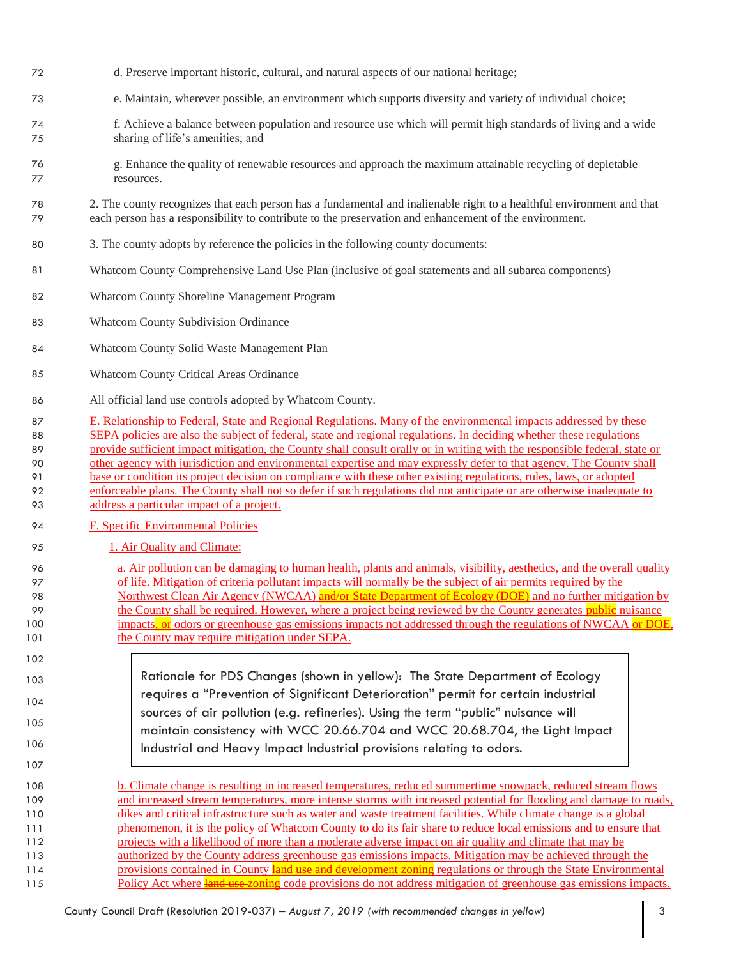- d. Preserve important historic, cultural, and natural aspects of our national heritage;
- e. Maintain, wherever possible, an environment which supports diversity and variety of individual choice;
- f. Achieve a balance between population and resource use which will permit high standards of living and a wide sharing of life's amenities; and
- g. Enhance the quality of renewable resources and approach the maximum attainable recycling of depletable resources.

 2. The county recognizes that each person has a fundamental and inalienable right to a healthful environment and that each person has a responsibility to contribute to the preservation and enhancement of the environment.

- 3. The county adopts by reference the policies in the following county documents:
- Whatcom County Comprehensive Land Use Plan (inclusive of goal statements and all subarea components)
- Whatcom County Shoreline Management Program
- Whatcom County Subdivision Ordinance
- Whatcom County Solid Waste Management Plan
- Whatcom County Critical Areas Ordinance
- All official land use controls adopted by Whatcom County.
- E. Relationship to Federal, State and Regional Regulations. Many of the environmental impacts addressed by these 88 SEPA policies are also the subject of federal, state and regional regulations. In deciding whether these regulations provide sufficient impact mitigation, the County shall consult orally or in writing with the responsible federal, state or other agency with jurisdiction and environmental expertise and may expressly defer to that agency. The County shall 91 base or condition its project decision on compliance with these other existing regulations, rules, laws, or adopted 92 enforceable plans. The County shall not so defer if such regulations did not anticipate or are otherwise inadequate to address a particular impact of a project.
- 94 F. Specific Environmental Policies
- 95 1. Air Quality and Climate:
- a. Air pollution can be damaging to human health, plants and animals, visibility, aesthetics, and the overall quality of life. Mitigation of criteria pollutant impacts will normally be the subject of air permits required by the 98 Northwest Clean Air Agency (NWCAA) and/or State Department of Ecology (DOE) and no further mitigation by 99 the County shall be required. However, where a project being reviewed by the County generates public nuisance 100 impacts, or odors or greenhouse gas emissions impacts not addressed through the regulations of NWCAA or DOE, 101 the County may require mitigation under SEPA.
- Rationale for PDS Changes (shown in yellow): The State Department of Ecology requires a "Prevention of Significant Deterioration" permit for certain industrial sources of air pollution (e.g. refineries). Using the term "public" nuisance will maintain consistency with WCC 20.66.704 and WCC 20.68.704, the Light Impact Industrial and Heavy Impact Industrial provisions relating to odors.
- b. Climate change is resulting in increased temperatures, reduced summertime snowpack, reduced stream flows and increased stream temperatures, more intense storms with increased potential for flooding and damage to roads, dikes and critical infrastructure such as water and waste treatment facilities. While climate change is a global phenomenon, it is the policy of Whatcom County to do its fair share to reduce local emissions and to ensure that projects with a likelihood of more than a moderate adverse impact on air quality and climate that may be authorized by the County address greenhouse gas emissions impacts. Mitigation may be achieved through the 114 provisions contained in County land use and development zoning regulations or through the State Environmental 115 Policy Act where land use zoning code provisions do not address mitigation of greenhouse gas emissions impacts.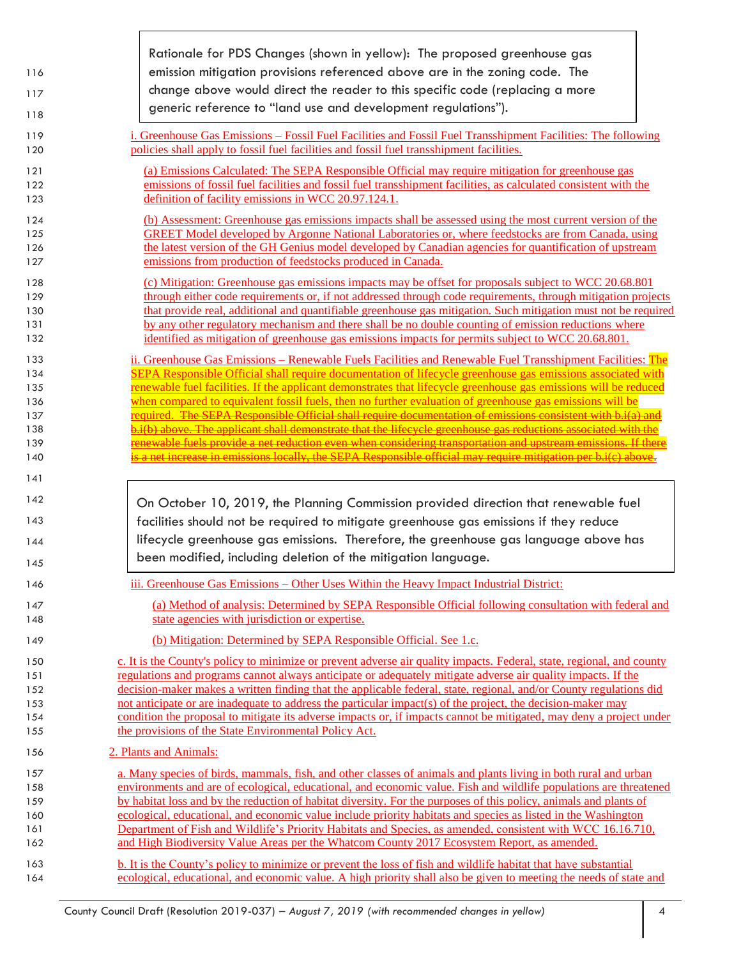|            | Rationale for PDS Changes (shown in yellow): The proposed greenhouse gas                                                                                                                                                             |
|------------|--------------------------------------------------------------------------------------------------------------------------------------------------------------------------------------------------------------------------------------|
| 116        | emission mitigation provisions referenced above are in the zoning code. The                                                                                                                                                          |
| 117        | change above would direct the reader to this specific code (replacing a more                                                                                                                                                         |
| 118        | generic reference to "land use and development regulations").                                                                                                                                                                        |
|            |                                                                                                                                                                                                                                      |
| 119<br>120 | i. Greenhouse Gas Emissions – Fossil Fuel Facilities and Fossil Fuel Transshipment Facilities: The following<br>policies shall apply to fossil fuel facilities and fossil fuel transshipment facilities.                             |
| 121        | (a) Emissions Calculated: The SEPA Responsible Official may require mitigation for greenhouse gas                                                                                                                                    |
| 122        | emissions of fossil fuel facilities and fossil fuel transshipment facilities, as calculated consistent with the                                                                                                                      |
| 123        | definition of facility emissions in WCC 20.97.124.1.                                                                                                                                                                                 |
| 124        | (b) Assessment: Greenhouse gas emissions impacts shall be assessed using the most current version of the                                                                                                                             |
| 125        | <b>GREET Model developed by Argonne National Laboratories or, where feedstocks are from Canada, using</b>                                                                                                                            |
| 126        | the latest version of the GH Genius model developed by Canadian agencies for quantification of upstream                                                                                                                              |
| 127        | emissions from production of feedstocks produced in Canada.                                                                                                                                                                          |
| 128        | (c) Mitigation: Greenhouse gas emissions impacts may be offset for proposals subject to WCC 20.68.801                                                                                                                                |
| 129        | through either code requirements or, if not addressed through code requirements, through mitigation projects                                                                                                                         |
| 130        | that provide real, additional and quantifiable greenhouse gas mitigation. Such mitigation must not be required                                                                                                                       |
| 131<br>132 | by any other regulatory mechanism and there shall be no double counting of emission reductions where<br><u>identified as mitigation of greenhouse gas emissions impacts for permits subject to WCC 20.68.801.</u>                    |
| 133        | ii. Greenhouse Gas Emissions – Renewable Fuels Facilities and Renewable Fuel Transshipment Facilities: The                                                                                                                           |
| 134        | SEPA Responsible Official shall require documentation of lifecycle greenhouse gas emissions associated with                                                                                                                          |
| 135        | <u>renewable fuel facilities. If the applicant demonstrates that lifecycle greenhouse gas emissions will be reduced</u>                                                                                                              |
| 136        | when compared to equivalent fossil fuels, then no further evaluation of greenhouse gas emissions will be                                                                                                                             |
| 137        | required. The SEPA Responsible Official shall require documentation of emissions consistent with b.i(a) and                                                                                                                          |
| 138        | i(b) above. The applicant shall demonstrate that the lifecycle greenhouse gas reductions associated with the                                                                                                                         |
| 139        | enewable fuels provide a net reduction even when considering transportation and upstream emissions. If there                                                                                                                         |
| 140        | a net increase in emissions locally, the SEPA Responsible official may require mitigation per b.i(c) abo .                                                                                                                           |
|            |                                                                                                                                                                                                                                      |
| 141        |                                                                                                                                                                                                                                      |
| 142        | On October 10, 2019, the Planning Commission provided direction that renewable fuel                                                                                                                                                  |
| 143        | facilities should not be required to mitigate greenhouse gas emissions if they reduce                                                                                                                                                |
| 144        | lifecycle greenhouse gas emissions. Therefore, the greenhouse gas language above has                                                                                                                                                 |
|            | been modified, including deletion of the mitigation language.                                                                                                                                                                        |
| 145<br>146 | iii. Greenhouse Gas Emissions – Other Uses Within the Heavy Impact Industrial District:                                                                                                                                              |
|            |                                                                                                                                                                                                                                      |
| 147<br>148 | (a) Method of analysis: Determined by SEPA Responsible Official following consultation with federal and<br>state agencies with jurisdiction or expertise.                                                                            |
| 149        | (b) Mitigation: Determined by SEPA Responsible Official. See 1.c.                                                                                                                                                                    |
| 150        | c. It is the County's policy to minimize or prevent adverse air quality impacts. Federal, state, regional, and county                                                                                                                |
| 151        | regulations and programs cannot always anticipate or adequately mitigate adverse air quality impacts. If the                                                                                                                         |
| 152        | decision-maker makes a written finding that the applicable federal, state, regional, and/or County regulations did                                                                                                                   |
| 153        | not anticipate or are inadequate to address the particular impact(s) of the project, the decision-maker may                                                                                                                          |
| 154<br>155 | condition the proposal to mitigate its adverse impacts or, if impacts cannot be mitigated, may deny a project under                                                                                                                  |
| 156        | the provisions of the State Environmental Policy Act.<br>2. Plants and Animals:                                                                                                                                                      |
| 157        |                                                                                                                                                                                                                                      |
| 158        | a. Many species of birds, mammals, fish, and other classes of animals and plants living in both rural and urban<br>environments and are of ecological, educational, and economic value. Fish and wildlife populations are threatened |
| 159        | by habitat loss and by the reduction of habitat diversity. For the purposes of this policy, animals and plants of                                                                                                                    |
| 160        | ecological, educational, and economic value include priority habitats and species as listed in the Washington                                                                                                                        |
| 161        | Department of Fish and Wildlife's Priority Habitats and Species, as amended, consistent with WCC 16.16.710,                                                                                                                          |
| 162        | and High Biodiversity Value Areas per the Whatcom County 2017 Ecosystem Report, as amended.                                                                                                                                          |

Г

٦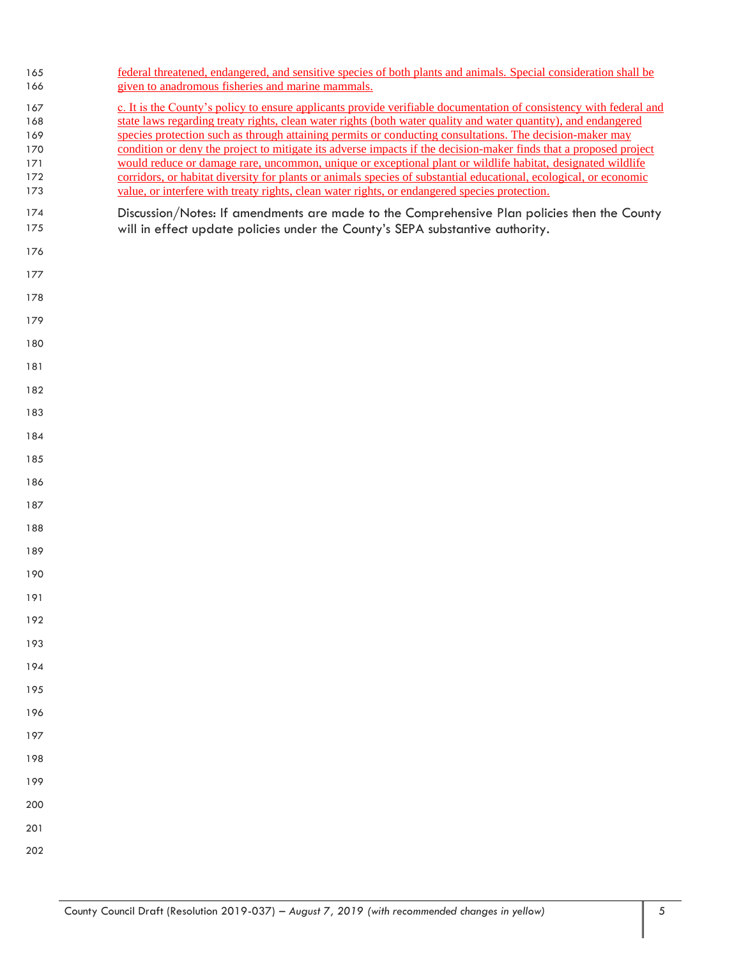| 165<br>166                                    | federal threatened, endangered, and sensitive species of both plants and animals. Special consideration shall be<br>given to anadromous fisheries and marine mammals.                                                                                                                                                                                                                                                                                                                                                                                                                                                                                                                                                                                                                                      |
|-----------------------------------------------|------------------------------------------------------------------------------------------------------------------------------------------------------------------------------------------------------------------------------------------------------------------------------------------------------------------------------------------------------------------------------------------------------------------------------------------------------------------------------------------------------------------------------------------------------------------------------------------------------------------------------------------------------------------------------------------------------------------------------------------------------------------------------------------------------------|
| 167<br>168<br>169<br>170<br>171<br>172<br>173 | c. It is the County's policy to ensure applicants provide verifiable documentation of consistency with federal and<br>state laws regarding treaty rights, clean water rights (both water quality and water quantity), and endangered<br>species protection such as through attaining permits or conducting consultations. The decision-maker may<br>condition or deny the project to mitigate its adverse impacts if the decision-maker finds that a proposed project<br>would reduce or damage rare, uncommon, unique or exceptional plant or wildlife habitat, designated wildlife<br>corridors, or habitat diversity for plants or animals species of substantial educational, ecological, or economic<br>value, or interfere with treaty rights, clean water rights, or endangered species protection. |
| 174<br>175                                    | Discussion/Notes: If amendments are made to the Comprehensive Plan policies then the County<br>will in effect update policies under the County's SEPA substantive authority.                                                                                                                                                                                                                                                                                                                                                                                                                                                                                                                                                                                                                               |
| 176                                           |                                                                                                                                                                                                                                                                                                                                                                                                                                                                                                                                                                                                                                                                                                                                                                                                            |
| 177                                           |                                                                                                                                                                                                                                                                                                                                                                                                                                                                                                                                                                                                                                                                                                                                                                                                            |
| 178                                           |                                                                                                                                                                                                                                                                                                                                                                                                                                                                                                                                                                                                                                                                                                                                                                                                            |
| 179                                           |                                                                                                                                                                                                                                                                                                                                                                                                                                                                                                                                                                                                                                                                                                                                                                                                            |
| 180                                           |                                                                                                                                                                                                                                                                                                                                                                                                                                                                                                                                                                                                                                                                                                                                                                                                            |
| 181                                           |                                                                                                                                                                                                                                                                                                                                                                                                                                                                                                                                                                                                                                                                                                                                                                                                            |
| 182                                           |                                                                                                                                                                                                                                                                                                                                                                                                                                                                                                                                                                                                                                                                                                                                                                                                            |
| 183                                           |                                                                                                                                                                                                                                                                                                                                                                                                                                                                                                                                                                                                                                                                                                                                                                                                            |
| 184                                           |                                                                                                                                                                                                                                                                                                                                                                                                                                                                                                                                                                                                                                                                                                                                                                                                            |
| 185                                           |                                                                                                                                                                                                                                                                                                                                                                                                                                                                                                                                                                                                                                                                                                                                                                                                            |
| 186                                           |                                                                                                                                                                                                                                                                                                                                                                                                                                                                                                                                                                                                                                                                                                                                                                                                            |
| 187                                           |                                                                                                                                                                                                                                                                                                                                                                                                                                                                                                                                                                                                                                                                                                                                                                                                            |
| 188                                           |                                                                                                                                                                                                                                                                                                                                                                                                                                                                                                                                                                                                                                                                                                                                                                                                            |
| 189                                           |                                                                                                                                                                                                                                                                                                                                                                                                                                                                                                                                                                                                                                                                                                                                                                                                            |
| 190                                           |                                                                                                                                                                                                                                                                                                                                                                                                                                                                                                                                                                                                                                                                                                                                                                                                            |
| 191                                           |                                                                                                                                                                                                                                                                                                                                                                                                                                                                                                                                                                                                                                                                                                                                                                                                            |
| 192                                           |                                                                                                                                                                                                                                                                                                                                                                                                                                                                                                                                                                                                                                                                                                                                                                                                            |
| 193                                           |                                                                                                                                                                                                                                                                                                                                                                                                                                                                                                                                                                                                                                                                                                                                                                                                            |
| 194                                           |                                                                                                                                                                                                                                                                                                                                                                                                                                                                                                                                                                                                                                                                                                                                                                                                            |
| 195                                           |                                                                                                                                                                                                                                                                                                                                                                                                                                                                                                                                                                                                                                                                                                                                                                                                            |
| 196                                           |                                                                                                                                                                                                                                                                                                                                                                                                                                                                                                                                                                                                                                                                                                                                                                                                            |
| 197                                           |                                                                                                                                                                                                                                                                                                                                                                                                                                                                                                                                                                                                                                                                                                                                                                                                            |
| 198                                           |                                                                                                                                                                                                                                                                                                                                                                                                                                                                                                                                                                                                                                                                                                                                                                                                            |
| 199                                           |                                                                                                                                                                                                                                                                                                                                                                                                                                                                                                                                                                                                                                                                                                                                                                                                            |
| 200                                           |                                                                                                                                                                                                                                                                                                                                                                                                                                                                                                                                                                                                                                                                                                                                                                                                            |
| 201                                           |                                                                                                                                                                                                                                                                                                                                                                                                                                                                                                                                                                                                                                                                                                                                                                                                            |
| 202                                           |                                                                                                                                                                                                                                                                                                                                                                                                                                                                                                                                                                                                                                                                                                                                                                                                            |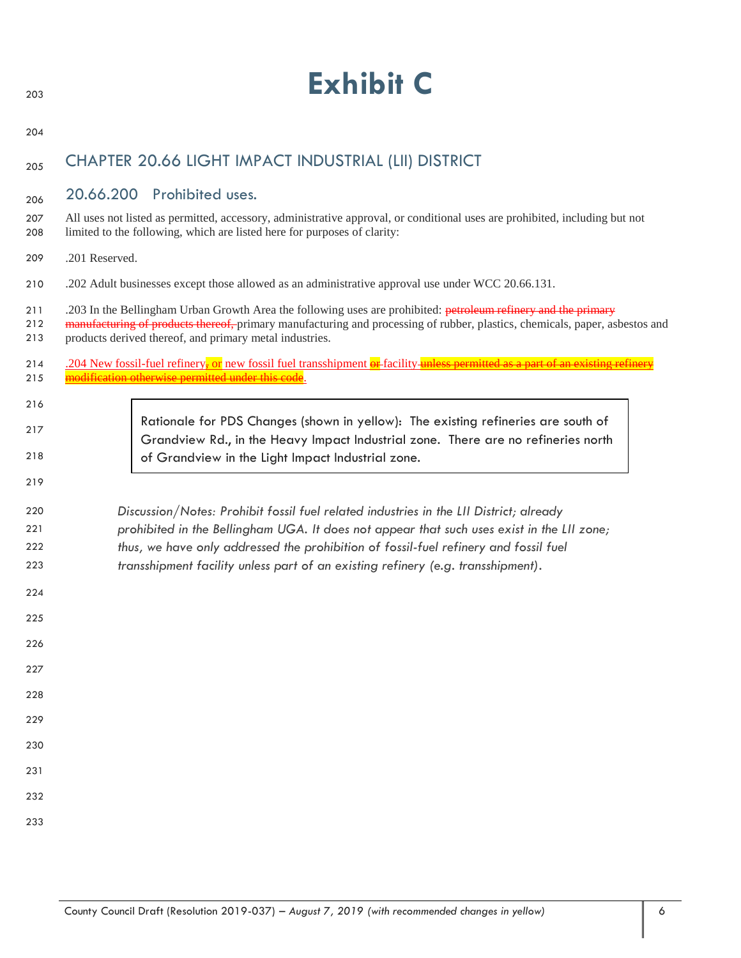| 203               | <b>Exhibit C</b>                                                                                                                                                                                                                                                                                         |
|-------------------|----------------------------------------------------------------------------------------------------------------------------------------------------------------------------------------------------------------------------------------------------------------------------------------------------------|
| 204               |                                                                                                                                                                                                                                                                                                          |
| 205               | CHAPTER 20.66 LIGHT IMPACT INDUSTRIAL (LII) DISTRICT                                                                                                                                                                                                                                                     |
| 206               | 20.66.200 Prohibited uses.                                                                                                                                                                                                                                                                               |
| 207<br>208        | All uses not listed as permitted, accessory, administrative approval, or conditional uses are prohibited, including but not<br>limited to the following, which are listed here for purposes of clarity:                                                                                                  |
| 209               | .201 Reserved.                                                                                                                                                                                                                                                                                           |
| 210               | .202 Adult businesses except those allowed as an administrative approval use under WCC 20.66.131.                                                                                                                                                                                                        |
| 211<br>212<br>213 | .203 In the Bellingham Urban Growth Area the following uses are prohibited: petroleum refinery and the primary<br>manufacturing of products thereof, primary manufacturing and processing of rubber, plastics, chemicals, paper, asbestos and<br>products derived thereof, and primary metal industries. |
| 214<br>215        | .204 New fossil-fuel refinery, or new fossil fuel transshipment or facility unless permitted as a part of an existing<br><u>lification otherwise permitted under this code</u> .                                                                                                                         |
| 216               |                                                                                                                                                                                                                                                                                                          |
| 217               | Rationale for PDS Changes (shown in yellow): The existing refineries are south of<br>Grandview Rd., in the Heavy Impact Industrial zone. There are no refineries north                                                                                                                                   |
| 218               | of Grandview in the Light Impact Industrial zone.                                                                                                                                                                                                                                                        |
| 219               |                                                                                                                                                                                                                                                                                                          |
| 220<br>221        | Discussion/Notes: Prohibit fossil fuel related industries in the LII District; already<br>prohibited in the Bellingham UGA. It does not appear that such uses exist in the LII zone;                                                                                                                     |
| 222               | thus, we have only addressed the prohibition of fossil-fuel refinery and fossil fuel                                                                                                                                                                                                                     |
| 223               | transshipment facility unless part of an existing refinery (e.g. transshipment).                                                                                                                                                                                                                         |
| 224               |                                                                                                                                                                                                                                                                                                          |
| 225               |                                                                                                                                                                                                                                                                                                          |
| 226               |                                                                                                                                                                                                                                                                                                          |
| 227               |                                                                                                                                                                                                                                                                                                          |
| 228               |                                                                                                                                                                                                                                                                                                          |
| 229               |                                                                                                                                                                                                                                                                                                          |
| 230<br>231        |                                                                                                                                                                                                                                                                                                          |
| 232               |                                                                                                                                                                                                                                                                                                          |
| 233               |                                                                                                                                                                                                                                                                                                          |
|                   |                                                                                                                                                                                                                                                                                                          |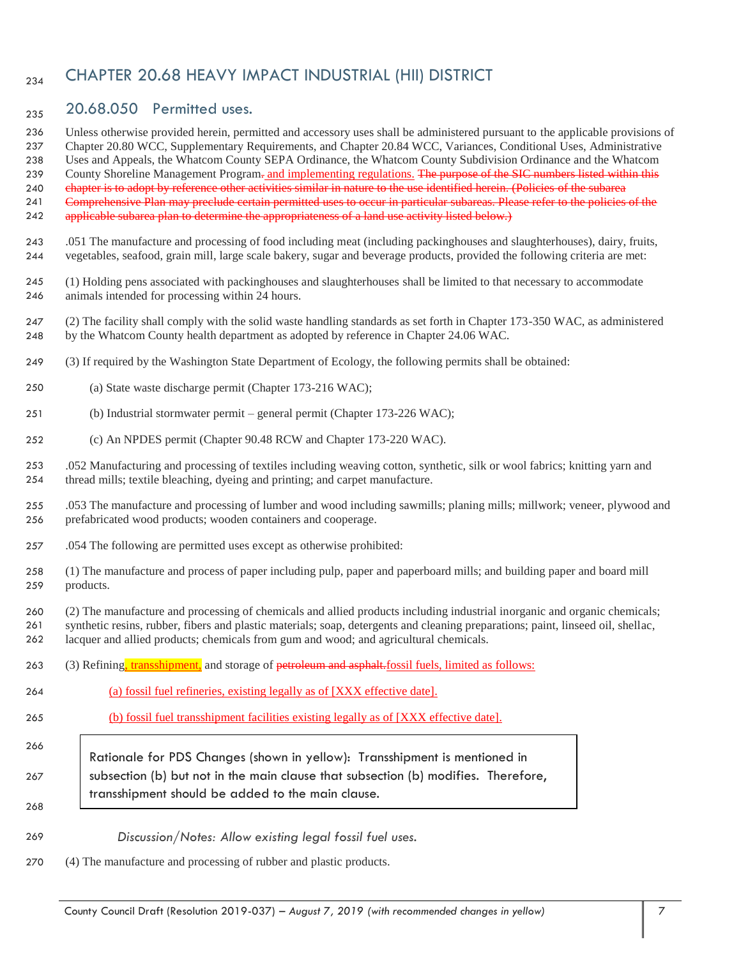## <sub>234</sub> CHAPTER 20.68 HEAVY IMPACT INDUSTRIAL (HII) DISTRICT

## 20.68.050 Permitted uses.

Unless otherwise provided herein, permitted and accessory uses shall be administered pursuant to the applicable provisions of

Chapter 20.80 WCC, Supplementary Requirements, and Chapter 20.84 WCC, Variances, Conditional Uses, Administrative

 Uses and Appeals, the Whatcom County SEPA Ordinance, the Whatcom County Subdivision Ordinance and the Whatcom 239 County Shoreline Management Program- and implementing regulations. The purpose of the SIC numbers listed within this

240 chapter is to adopt by reference other activities similar in nature to the use identified herein. (Policies of the subarea

Comprehensive Plan may preclude certain permitted uses to occur in particular subareas. Please refer to the policies of the

- 242 applicable subarea plan to determine the appropriateness of a land use activity listed below.)
- .051 The manufacture and processing of food including meat (including packinghouses and slaughterhouses), dairy, fruits, vegetables, seafood, grain mill, large scale bakery, sugar and beverage products, provided the following criteria are met:
- (1) Holding pens associated with packinghouses and slaughterhouses shall be limited to that necessary to accommodate animals intended for processing within 24 hours.
- (2) The facility shall comply with the solid waste handling standards as set forth in Chapter 173-350 WAC, as administered by the Whatcom County health department as adopted by reference in Chapter 24.06 WAC.
- (3) If required by the Washington State Department of Ecology, the following permits shall be obtained:
- (a) State waste discharge permit (Chapter 173-216 WAC);
- (b) Industrial stormwater permit general permit (Chapter 173-226 WAC);
- (c) An NPDES permit (Chapter 90.48 RCW and Chapter 173-220 WAC).

 .052 Manufacturing and processing of textiles including weaving cotton, synthetic, silk or wool fabrics; knitting yarn and thread mills; textile bleaching, dyeing and printing; and carpet manufacture.

- .053 The manufacture and processing of lumber and wood including sawmills; planing mills; millwork; veneer, plywood and prefabricated wood products; wooden containers and cooperage.
- .054 The following are permitted uses except as otherwise prohibited:
- (1) The manufacture and process of paper including pulp, paper and paperboard mills; and building paper and board mill products.
- (2) The manufacture and processing of chemicals and allied products including industrial inorganic and organic chemicals;
- synthetic resins, rubber, fibers and plastic materials; soap, detergents and cleaning preparations; paint, linseed oil, shellac,
- lacquer and allied products; chemicals from gum and wood; and agricultural chemicals.
- 263 (3) Refining, transshipment, and storage of petroleum and asphalt.fossil fuels, limited as follows:
- (a) fossil fuel refineries, existing legally as of [XXX effective date].
- (b) fossil fuel transshipment facilities existing legally as of [XXX effective date].
- Rationale for PDS Changes (shown in yellow): Transshipment is mentioned in subsection (b) but not in the main clause that subsection (b) modifies. Therefore, transshipment should be added to the main clause.
- *Discussion/Notes: Allow existing legal fossil fuel uses.*
- (4) The manufacture and processing of rubber and plastic products.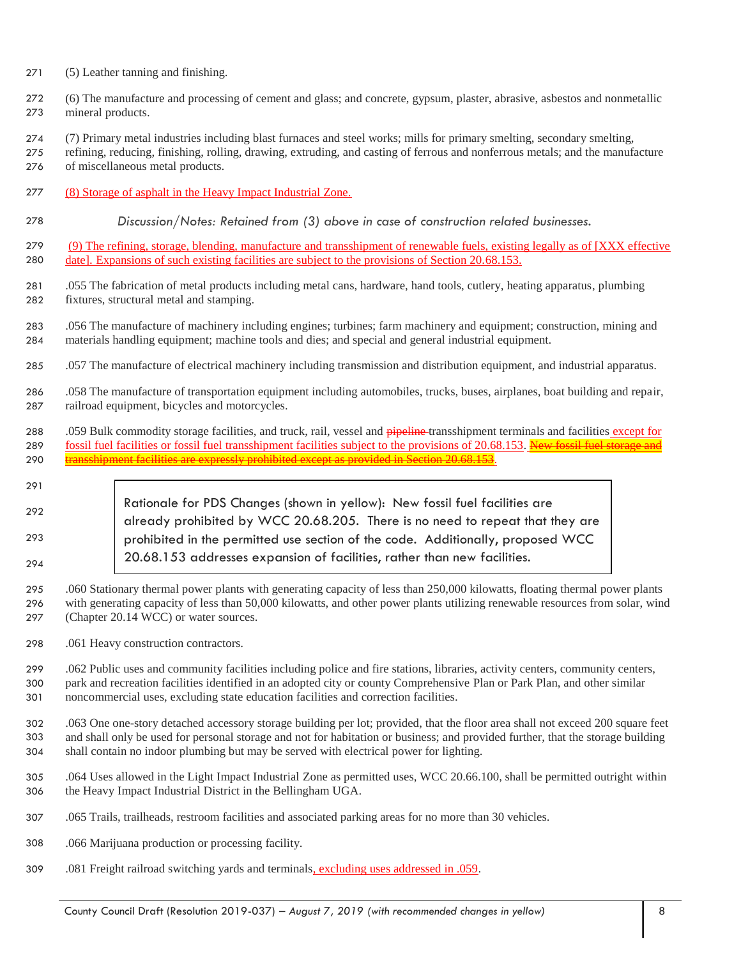- (5) Leather tanning and finishing.
- (6) The manufacture and processing of cement and glass; and concrete, gypsum, plaster, abrasive, asbestos and nonmetallic mineral products.
- (7) Primary metal industries including blast furnaces and steel works; mills for primary smelting, secondary smelting,
- refining, reducing, finishing, rolling, drawing, extruding, and casting of ferrous and nonferrous metals; and the manufacture of miscellaneous metal products.
- (8) Storage of asphalt in the Heavy Impact Industrial Zone.
- *Discussion/Notes: Retained from (3) above in case of construction related businesses.*

 (9) The refining, storage, blending, manufacture and transshipment of renewable fuels, existing legally as of [XXX effective date]. Expansions of such existing facilities are subject to the provisions of Section 20.68.153.

- .055 The fabrication of metal products including metal cans, hardware, hand tools, cutlery, heating apparatus, plumbing fixtures, structural metal and stamping.
- .056 The manufacture of machinery including engines; turbines; farm machinery and equipment; construction, mining and materials handling equipment; machine tools and dies; and special and general industrial equipment.
- .057 The manufacture of electrical machinery including transmission and distribution equipment, and industrial apparatus.
- .058 The manufacture of transportation equipment including automobiles, trucks, buses, airplanes, boat building and repair, railroad equipment, bicycles and motorcycles.
- 288 .059 Bulk commodity storage facilities, and truck, rail, vessel and pipeline-transshipment terminals and facilities except for 289 fossil fuel facilities or fossil fuel transshipment facilities subject to the provisions of 20.68.153. New fossil fuel storage 290 transshipment facilities are expressly prohibited except as provided in Section 20.68.
- Rationale for PDS Changes (shown in yellow): New fossil fuel facilities are already prohibited by WCC 20.68.205. There is no need to repeat that they are prohibited in the permitted use section of the code. Additionally, proposed WCC 20.68.153 addresses expansion of facilities, rather than new facilities.
- .060 Stationary thermal power plants with generating capacity of less than 250,000 kilowatts, floating thermal power plants with generating capacity of less than 50,000 kilowatts, and other power plants utilizing renewable resources from solar, wind (Chapter 20.14 WCC) or water sources.
- .061 Heavy construction contractors.

 .062 Public uses and community facilities including police and fire stations, libraries, activity centers, community centers, park and recreation facilities identified in an adopted city or county Comprehensive Plan or Park Plan, and other similar noncommercial uses, excluding state education facilities and correction facilities.

 .063 One one-story detached accessory storage building per lot; provided, that the floor area shall not exceed 200 square feet and shall only be used for personal storage and not for habitation or business; and provided further, that the storage building shall contain no indoor plumbing but may be served with electrical power for lighting.

- .064 Uses allowed in the Light Impact Industrial Zone as permitted uses, WCC 20.66.100, shall be permitted outright within the Heavy Impact Industrial District in the Bellingham UGA.
- .065 Trails, trailheads, restroom facilities and associated parking areas for no more than 30 vehicles.
- .066 Marijuana production or processing facility.
- .081 Freight railroad switching yards and terminals, excluding uses addressed in .059.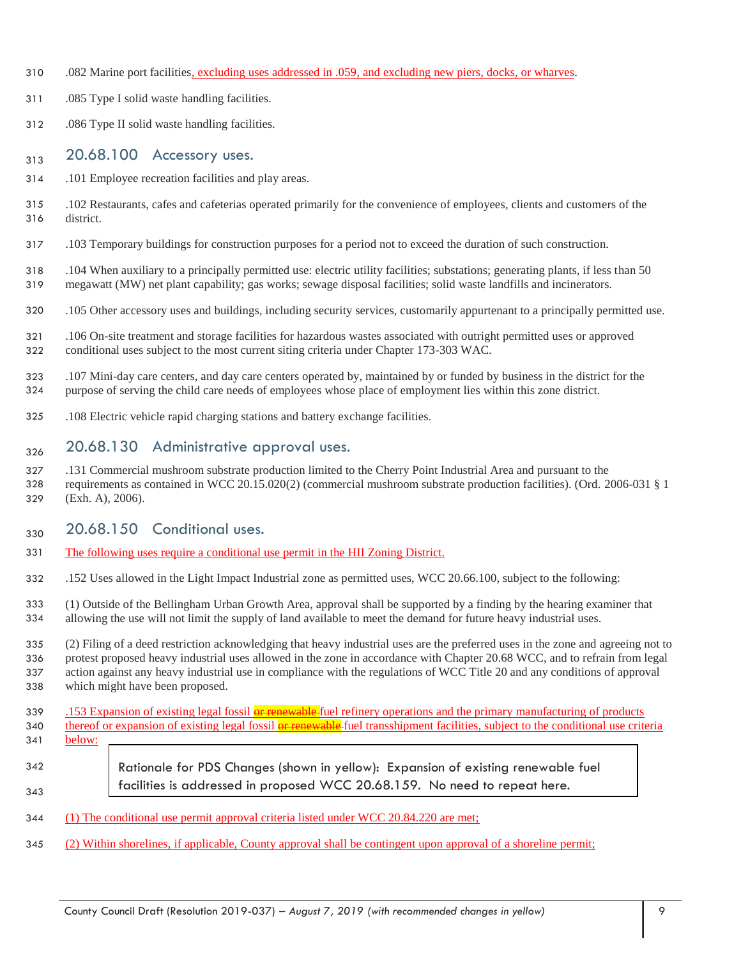- .082 Marine port facilities, excluding uses addressed in .059, and excluding new piers, docks, or wharves.
- .085 Type I solid waste handling facilities.
- .086 Type II solid waste handling facilities.

#### $20.68.100$  Accessory uses.

- .101 Employee recreation facilities and play areas.
- .102 Restaurants, cafes and cafeterias operated primarily for the convenience of employees, clients and customers of the district.
- .103 Temporary buildings for construction purposes for a period not to exceed the duration of such construction.
- .104 When auxiliary to a principally permitted use: electric utility facilities; substations; generating plants, if less than 50 megawatt (MW) net plant capability; gas works; sewage disposal facilities; solid waste landfills and incinerators.
- .105 Other accessory uses and buildings, including security services, customarily appurtenant to a principally permitted use.
- .106 On-site treatment and storage facilities for hazardous wastes associated with outright permitted uses or approved conditional uses subject to the most current siting criteria under Chapter 173-303 WAC.
- .107 Mini-day care centers, and day care centers operated by, maintained by or funded by business in the district for the purpose of serving the child care needs of employees whose place of employment lies within this zone district.
- .108 Electric vehicle rapid charging stations and battery exchange facilities.

#### <sub>326</sub> 20.68.130 Administrative approval uses.

 .131 Commercial mushroom substrate production limited to the Cherry Point Industrial Area and pursuant to the requirements as contained in WCC 20.15.020(2) (commercial mushroom substrate production facilities). (Ord. 2006-031 § 1 (Exh. A), 2006).

#### $_{330}$  20.68.150 Conditional uses.

- The following uses require a conditional use permit in the HII Zoning District.
- .152 Uses allowed in the Light Impact Industrial zone as permitted uses, WCC 20.66.100, subject to the following:
- (1) Outside of the Bellingham Urban Growth Area, approval shall be supported by a finding by the hearing examiner that allowing the use will not limit the supply of land available to meet the demand for future heavy industrial uses.
- (2) Filing of a deed restriction acknowledging that heavy industrial uses are the preferred uses in the zone and agreeing not to protest proposed heavy industrial uses allowed in the zone in accordance with Chapter 20.68 WCC, and to refrain from legal action against any heavy industrial use in compliance with the regulations of WCC Title 20 and any conditions of approval which might have been proposed.
- 339 .153 Expansion of existing legal fossil **or renewable** fuel refinery operations and the primary manufacturing of products 340 thereof or expansion of existing legal fossil or renewable fuel transshipment facilities, subject to the conditional use criteria below:
- Rationale for PDS Changes (shown in yellow): Expansion of existing renewable fuel facilities is addressed in proposed WCC 20.68.159. No need to repeat here.
- (1) The conditional use permit approval criteria listed under WCC 20.84.220 are met;
- (2) Within shorelines, if applicable, County approval shall be contingent upon approval of a shoreline permit;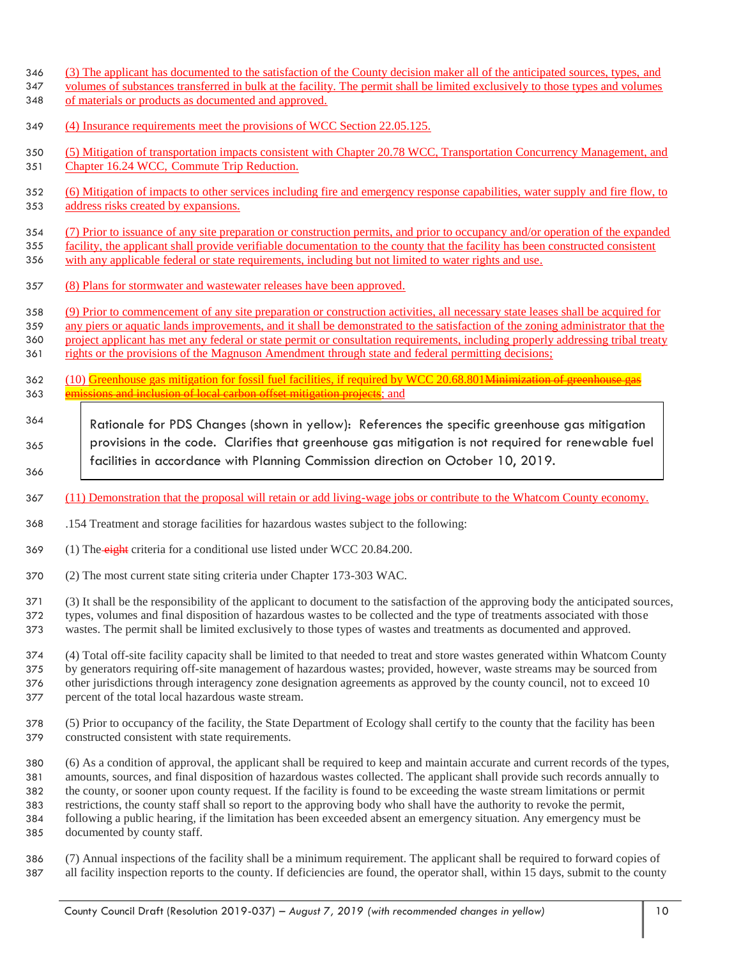- (3) The applicant has documented to the satisfaction of the County decision maker all of the anticipated sources, types, and
- volumes of substances transferred in bulk at the facility. The permit shall be limited exclusively to those types and volumes
- of materials or products as documented and approved.
- (4) Insurance requirements meet the provisions of WCC Section 22.05.125.
- (5) Mitigation of transportation impacts consistent with Chapter 20.78 WCC, Transportation Concurrency Management, and
- Chapter 16.24 WCC, Commute Trip Reduction.
- (6) Mitigation of impacts to other services including fire and emergency response capabilities, water supply and fire flow, to address risks created by expansions.
- 354 (7) Prior to issuance of any site preparation or construction permits, and prior to occupancy and/or operation of the expanded
- facility, the applicant shall provide verifiable documentation to the county that the facility has been constructed consistent with any applicable federal or state requirements, including but not limited to water rights and use.
- (8) Plans for stormwater and wastewater releases have been approved.
- (9) Prior to commencement of any site preparation or construction activities, all necessary state leases shall be acquired for
- any piers or aquatic lands improvements, and it shall be demonstrated to the satisfaction of the zoning administrator that the
- 360 project applicant has met any federal or state permit or consultation requirements, including properly addressing tribal treaty
- 361 rights or the provisions of the Magnuson Amendment through state and federal permitting decisions;
- 362 (10) Greenhouse gas mitigation for fossil fuel facilities, if required by WCC 20.68.801<del>Minimization of greenhouse gas</del> 363 emissions and inclusion of local carbon offset mitigation projects; and
- Rationale for PDS Changes (shown in yellow): References the specific greenhouse gas mitigation provisions in the code. Clarifies that greenhouse gas mitigation is not required for renewable fuel facilities in accordance with Planning Commission direction on October 10, 2019.
- (11) Demonstration that the proposal will retain or add living-wage jobs or contribute to the Whatcom County economy.
- .154 Treatment and storage facilities for hazardous wastes subject to the following:
- 369 (1) The eight criteria for a conditional use listed under WCC 20.84.200.
- (2) The most current state siting criteria under Chapter 173-303 WAC.
- (3) It shall be the responsibility of the applicant to document to the satisfaction of the approving body the anticipated sources,
- types, volumes and final disposition of hazardous wastes to be collected and the type of treatments associated with those
- wastes. The permit shall be limited exclusively to those types of wastes and treatments as documented and approved.
- (4) Total off-site facility capacity shall be limited to that needed to treat and store wastes generated within Whatcom County by generators requiring off-site management of hazardous wastes; provided, however, waste streams may be sourced from other jurisdictions through interagency zone designation agreements as approved by the county council, not to exceed 10 percent of the total local hazardous waste stream.
- (5) Prior to occupancy of the facility, the State Department of Ecology shall certify to the county that the facility has been constructed consistent with state requirements.
- (6) As a condition of approval, the applicant shall be required to keep and maintain accurate and current records of the types, amounts, sources, and final disposition of hazardous wastes collected. The applicant shall provide such records annually to the county, or sooner upon county request. If the facility is found to be exceeding the waste stream limitations or permit restrictions, the county staff shall so report to the approving body who shall have the authority to revoke the permit, following a public hearing, if the limitation has been exceeded absent an emergency situation. Any emergency must be documented by county staff.
- (7) Annual inspections of the facility shall be a minimum requirement. The applicant shall be required to forward copies of all facility inspection reports to the county. If deficiencies are found, the operator shall, within 15 days, submit to the county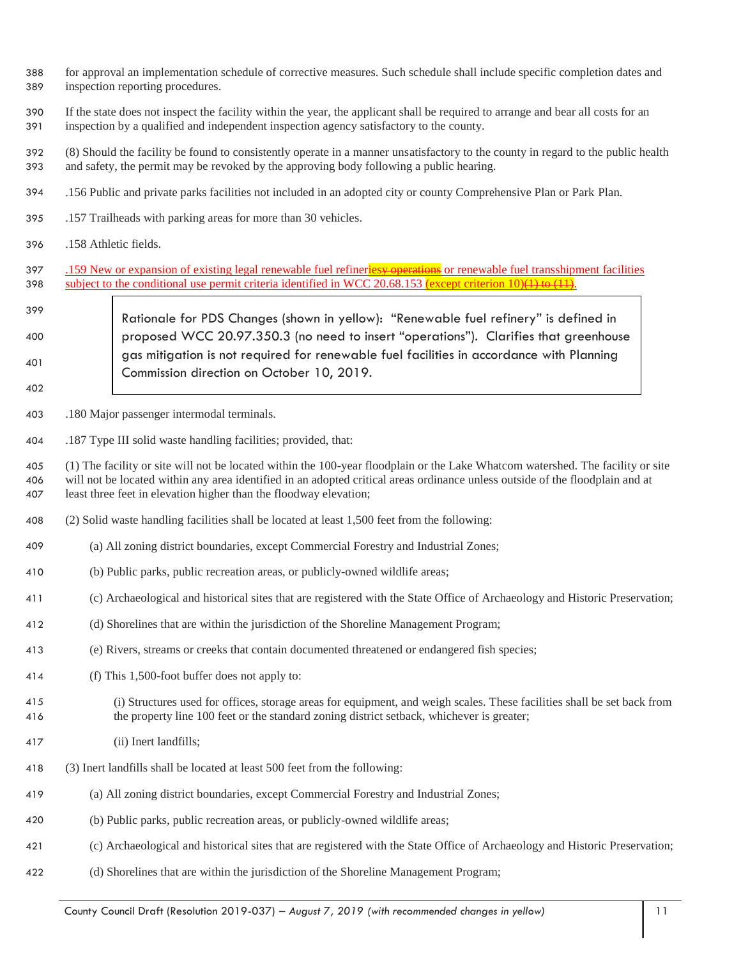- for approval an implementation schedule of corrective measures. Such schedule shall include specific completion dates and inspection reporting procedures.
- If the state does not inspect the facility within the year, the applicant shall be required to arrange and bear all costs for an inspection by a qualified and independent inspection agency satisfactory to the county.
- (8) Should the facility be found to consistently operate in a manner unsatisfactory to the county in regard to the public health and safety, the permit may be revoked by the approving body following a public hearing.
- .156 Public and private parks facilities not included in an adopted city or county Comprehensive Plan or Park Plan.
- .157 Trailheads with parking areas for more than 30 vehicles.
- .158 Athletic fields.
- 397 .159 New or expansion of existing legal renewable fuel refineries or renewable fuel transshipment facilities 398 subject to the conditional use permit criteria identified in WCC 20.68.153 (except criterion 10)( $\pm$ ) to ( $\pm$ ).
- Rationale for PDS Changes (shown in yellow): "Renewable fuel refinery" is defined in proposed WCC 20.97.350.3 (no need to insert "operations"). Clarifies that greenhouse gas mitigation is not required for renewable fuel facilities in accordance with Planning Commission direction on October 10, 2019.
- .180 Major passenger intermodal terminals.
- .187 Type III solid waste handling facilities; provided, that:

 (1) The facility or site will not be located within the 100-year floodplain or the Lake Whatcom watershed. The facility or site will not be located within any area identified in an adopted critical areas ordinance unless outside of the floodplain and at least three feet in elevation higher than the floodway elevation;

- (2) Solid waste handling facilities shall be located at least 1,500 feet from the following:
- (a) All zoning district boundaries, except Commercial Forestry and Industrial Zones;
- (b) Public parks, public recreation areas, or publicly-owned wildlife areas;
- (c) Archaeological and historical sites that are registered with the State Office of Archaeology and Historic Preservation;
- (d) Shorelines that are within the jurisdiction of the Shoreline Management Program;
- (e) Rivers, streams or creeks that contain documented threatened or endangered fish species;
- (f) This 1,500-foot buffer does not apply to:
- (i) Structures used for offices, storage areas for equipment, and weigh scales. These facilities shall be set back from the property line 100 feet or the standard zoning district setback, whichever is greater;
- (ii) Inert landfills;
- (3) Inert landfills shall be located at least 500 feet from the following:
- (a) All zoning district boundaries, except Commercial Forestry and Industrial Zones;
- (b) Public parks, public recreation areas, or publicly-owned wildlife areas;
- (c) Archaeological and historical sites that are registered with the State Office of Archaeology and Historic Preservation;
- (d) Shorelines that are within the jurisdiction of the Shoreline Management Program;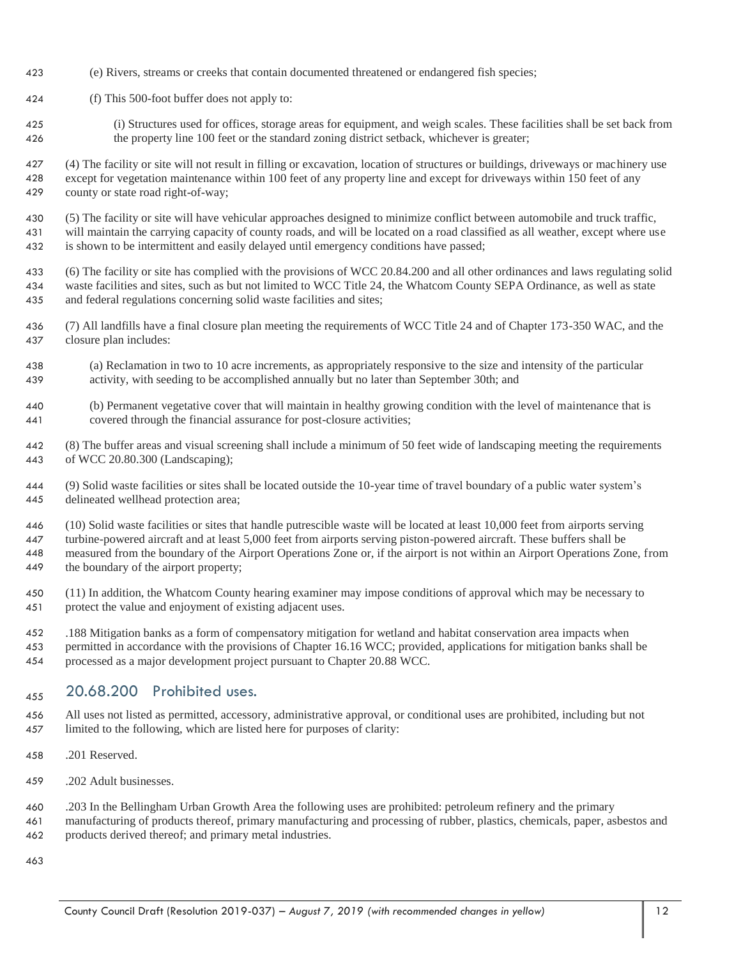- (e) Rivers, streams or creeks that contain documented threatened or endangered fish species;
- (f) This 500-foot buffer does not apply to:
- (i) Structures used for offices, storage areas for equipment, and weigh scales. These facilities shall be set back from the property line 100 feet or the standard zoning district setback, whichever is greater;
- (4) The facility or site will not result in filling or excavation, location of structures or buildings, driveways or machinery use except for vegetation maintenance within 100 feet of any property line and except for driveways within 150 feet of any county or state road right-of-way;
- (5) The facility or site will have vehicular approaches designed to minimize conflict between automobile and truck traffic, will maintain the carrying capacity of county roads, and will be located on a road classified as all weather, except where use is shown to be intermittent and easily delayed until emergency conditions have passed;
- (6) The facility or site has complied with the provisions of WCC 20.84.200 and all other ordinances and laws regulating solid waste facilities and sites, such as but not limited to WCC Title 24, the Whatcom County SEPA Ordinance, as well as state and federal regulations concerning solid waste facilities and sites;
- (7) All landfills have a final closure plan meeting the requirements of WCC Title 24 and of Chapter 173-350 WAC, and the closure plan includes:
- (a) Reclamation in two to 10 acre increments, as appropriately responsive to the size and intensity of the particular activity, with seeding to be accomplished annually but no later than September 30th; and
- (b) Permanent vegetative cover that will maintain in healthy growing condition with the level of maintenance that is covered through the financial assurance for post-closure activities;
- (8) The buffer areas and visual screening shall include a minimum of 50 feet wide of landscaping meeting the requirements of WCC 20.80.300 (Landscaping);
- (9) Solid waste facilities or sites shall be located outside the 10-year time of travel boundary of a public water system's delineated wellhead protection area;
- (10) Solid waste facilities or sites that handle putrescible waste will be located at least 10,000 feet from airports serving turbine-powered aircraft and at least 5,000 feet from airports serving piston-powered aircraft. These buffers shall be measured from the boundary of the Airport Operations Zone or, if the airport is not within an Airport Operations Zone, from the boundary of the airport property;
- (11) In addition, the Whatcom County hearing examiner may impose conditions of approval which may be necessary to protect the value and enjoyment of existing adjacent uses.
- .188 Mitigation banks as a form of compensatory mitigation for wetland and habitat conservation area impacts when permitted in accordance with the provisions of Chapter 16.16 WCC; provided, applications for mitigation banks shall be processed as a major development project pursuant to Chapter 20.88 WCC.

## $20.68.200$  Prohibited uses.

- All uses not listed as permitted, accessory, administrative approval, or conditional uses are prohibited, including but not limited to the following, which are listed here for purposes of clarity:
- .201 Reserved.
- .202 Adult businesses.
- .203 In the Bellingham Urban Growth Area the following uses are prohibited: petroleum refinery and the primary
- manufacturing of products thereof, primary manufacturing and processing of rubber, plastics, chemicals, paper, asbestos and products derived thereof; and primary metal industries.

County Council Draft (Resolution 2019-037) *– August 7, 2019 (with recommended changes in yellow)* 12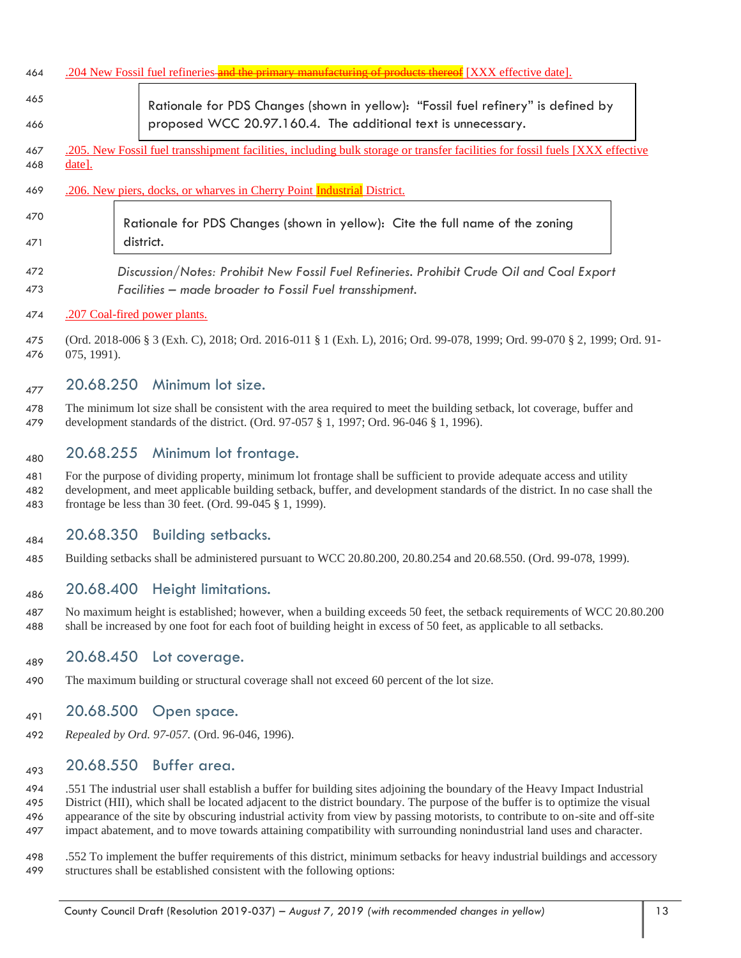| 464        | <b>unufacturing of products thereof</b> [XXX effective date].<br>.204 New Fossil fuel refineries <del> and the primary manu</del>       |  |  |
|------------|-----------------------------------------------------------------------------------------------------------------------------------------|--|--|
| 465        | Rationale for PDS Changes (shown in yellow): "Fossil fuel refinery" is defined by                                                       |  |  |
| 466        | proposed WCC 20.97.160.4. The additional text is unnecessary.                                                                           |  |  |
| 467<br>468 | 205. New Fossil fuel transshipment facilities, including bulk storage or transfer facilities for fossil fuels [XXX effective]<br>date]. |  |  |
| 469        | .206. New piers, docks, or wharves in Cherry Point Industrial District.                                                                 |  |  |
| 470        | Rationale for PDS Changes (shown in yellow): Cite the full name of the zoning                                                           |  |  |
| 471        | district.                                                                                                                               |  |  |
| 472        | Discussion/Notes: Prohibit New Fossil Fuel Refineries. Prohibit Crude Oil and Coal Export                                               |  |  |
| 473        | Facilities - made broader to Fossil Fuel transshipment.                                                                                 |  |  |
| 474        | .207 Coal-fired power plants.                                                                                                           |  |  |

 (Ord. 2018-006 § 3 (Exh. C), 2018; Ord. 2016-011 § 1 (Exh. L), 2016; Ord. 99-078, 1999; Ord. 99-070 § 2, 1999; Ord. 91- 075, 1991).

## $_{477}$  20.68.250 Minimum lot size.

 The minimum lot size shall be consistent with the area required to meet the building setback, lot coverage, buffer and development standards of the district. (Ord. 97-057 § 1, 1997; Ord. 96-046 § 1, 1996).

#### $_{480}$  20.68.255 Minimum lot frontage.

 For the purpose of dividing property, minimum lot frontage shall be sufficient to provide adequate access and utility development, and meet applicable building setback, buffer, and development standards of the district. In no case shall the frontage be less than 30 feet. (Ord. 99-045 § 1, 1999).

## $_{484}$  20.68.350 Building setbacks.

Building setbacks shall be administered pursuant to WCC 20.80.200, 20.80.254 and 20.68.550. (Ord. 99-078, 1999).

## <sub>486</sub> 20.68.400 Height limitations.

 No maximum height is established; however, when a building exceeds 50 feet, the setback requirements of WCC 20.80.200 shall be increased by one foot for each foot of building height in excess of 50 feet, as applicable to all setbacks.

#### $_{489}$  20.68.450 Lot coverage.

The maximum building or structural coverage shall not exceed 60 percent of the lot size.

#### $_{491}$  20.68.500 Open space.

*Repealed by Ord. 97-057.* (Ord. 96-046, 1996).

#### <sub>493</sub> 20.68.550 Buffer area.

 .551 The industrial user shall establish a buffer for building sites adjoining the boundary of the Heavy Impact Industrial District (HII), which shall be located adjacent to the district boundary. The purpose of the buffer is to optimize the visual appearance of the site by obscuring industrial activity from view by passing motorists, to contribute to on-site and off-site impact abatement, and to move towards attaining compatibility with surrounding nonindustrial land uses and character.

 .552 To implement the buffer requirements of this district, minimum setbacks for heavy industrial buildings and accessory structures shall be established consistent with the following options: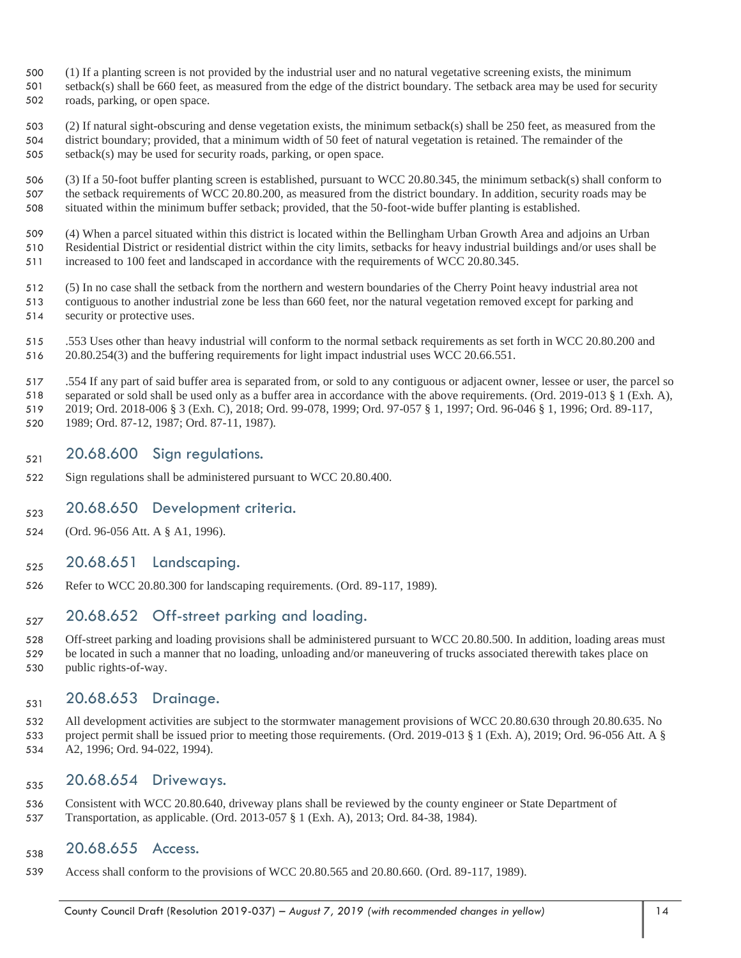- (1) If a planting screen is not provided by the industrial user and no natural vegetative screening exists, the minimum
- setback(s) shall be 660 feet, as measured from the edge of the district boundary. The setback area may be used for security
- roads, parking, or open space.

 (2) If natural sight-obscuring and dense vegetation exists, the minimum setback(s) shall be 250 feet, as measured from the district boundary; provided, that a minimum width of 50 feet of natural vegetation is retained. The remainder of the setback(s) may be used for security roads, parking, or open space.

 (3) If a 50-foot buffer planting screen is established, pursuant to WCC 20.80.345, the minimum setback(s) shall conform to the setback requirements of WCC 20.80.200, as measured from the district boundary. In addition, security roads may be situated within the minimum buffer setback; provided, that the 50-foot-wide buffer planting is established.

 (4) When a parcel situated within this district is located within the Bellingham Urban Growth Area and adjoins an Urban Residential District or residential district within the city limits, setbacks for heavy industrial buildings and/or uses shall be

increased to 100 feet and landscaped in accordance with the requirements of WCC 20.80.345.

 (5) In no case shall the setback from the northern and western boundaries of the Cherry Point heavy industrial area not contiguous to another industrial zone be less than 660 feet, nor the natural vegetation removed except for parking and security or protective uses.

 .553 Uses other than heavy industrial will conform to the normal setback requirements as set forth in WCC 20.80.200 and 20.80.254(3) and the buffering requirements for light impact industrial uses WCC 20.66.551.

.554 If any part of said buffer area is separated from, or sold to any contiguous or adjacent owner, lessee or user, the parcel so

 separated or sold shall be used only as a buffer area in accordance with the above requirements. (Ord. 2019-013 § 1 (Exh. A), 2019; Ord. 2018-006 § 3 (Exh. C), 2018; Ord. 99-078, 1999; Ord. 97-057 § 1, 1997; Ord. 96-046 § 1, 1996; Ord. 89-117,

1989; Ord. 87-12, 1987; Ord. 87-11, 1987).

## $_{521}$  20.68.600 Sign regulations.

Sign regulations shall be administered pursuant to WCC 20.80.400.

## $_{523}$  20.68.650 Development criteria.

(Ord. 96-056 Att. A § A1, 1996).

#### $_{525}$  20.68.651 Landscaping.

Refer to WCC 20.80.300 for landscaping requirements. (Ord. 89-117, 1989).

#### $_{527}$  20.68.652 Off-street parking and loading.

528 Off-street parking and loading provisions shall be administered pursuant to WCC 20.80.500. In addition, loading areas must be located in such a manner that no loading, unloading and/or maneuvering of trucks associated therewith takes place on public rights-of-way.

## 531 20.68.653 Drainage.

 All development activities are subject to the stormwater management provisions of WCC 20.80.630 through 20.80.635. No project permit shall be issued prior to meeting those requirements. (Ord. 2019-013 § 1 (Exh. A), 2019; Ord. 96-056 Att. A § A2, 1996; Ord. 94-022, 1994).

## 535 20.68.654 Driveways.

 Consistent with WCC 20.80.640, driveway plans shall be reviewed by the county engineer or State Department of Transportation, as applicable. (Ord. 2013-057 § 1 (Exh. A), 2013; Ord. 84-38, 1984).

## 538 20.68.655 Access.

Access shall conform to the provisions of WCC 20.80.565 and 20.80.660. (Ord. 89-117, 1989).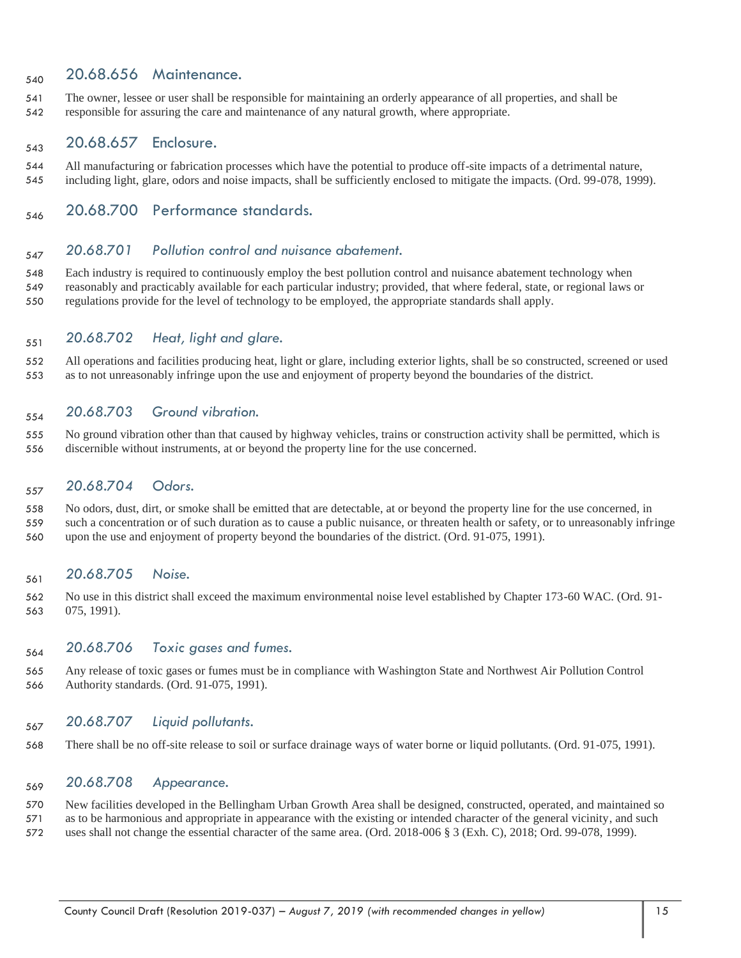#### 540 20.68.656 Maintenance.

 The owner, lessee or user shall be responsible for maintaining an orderly appearance of all properties, and shall be responsible for assuring the care and maintenance of any natural growth, where appropriate.

## 543 20.68.657 Enclosure.

- All manufacturing or fabrication processes which have the potential to produce off-site impacts of a detrimental nature, including light, glare, odors and noise impacts, shall be sufficiently enclosed to mitigate the impacts. (Ord. 99-078, 1999).
- <sub>546</sub> 20.68.700 Performance standards.

## *20.68.701 Pollution control and nuisance abatement.*

 Each industry is required to continuously employ the best pollution control and nuisance abatement technology when reasonably and practicably available for each particular industry; provided, that where federal, state, or regional laws or regulations provide for the level of technology to be employed, the appropriate standards shall apply.

#### *20.68.702 Heat, light and glare.*

 All operations and facilities producing heat, light or glare, including exterior lights, shall be so constructed, screened or used as to not unreasonably infringe upon the use and enjoyment of property beyond the boundaries of the district.

#### *20.68.703 Ground vibration.*

 No ground vibration other than that caused by highway vehicles, trains or construction activity shall be permitted, which is discernible without instruments, at or beyond the property line for the use concerned.

#### *20.68.704 Odors.*

 No odors, dust, dirt, or smoke shall be emitted that are detectable, at or beyond the property line for the use concerned, in such a concentration or of such duration as to cause a public nuisance, or threaten health or safety, or to unreasonably infringe upon the use and enjoyment of property beyond the boundaries of the district. (Ord. 91-075, 1991).

#### *20.68.705* Noise.

 No use in this district shall exceed the maximum environmental noise level established by Chapter 173-60 WAC. (Ord. 91- 075, 1991).

#### *20.68.706 Toxic gases and fumes.*

 Any release of toxic gases or fumes must be in compliance with Washington State and Northwest Air Pollution Control Authority standards. (Ord. 91-075, 1991).

#### *20.68.707 Liquid pollutants.*

There shall be no off-site release to soil or surface drainage ways of water borne or liquid pollutants. (Ord. 91-075, 1991).

#### *20.68.708 Appearance.*

 New facilities developed in the Bellingham Urban Growth Area shall be designed, constructed, operated, and maintained so as to be harmonious and appropriate in appearance with the existing or intended character of the general vicinity, and such uses shall not change the essential character of the same area. (Ord. 2018-006 § 3 (Exh. C), 2018; Ord. 99-078, 1999).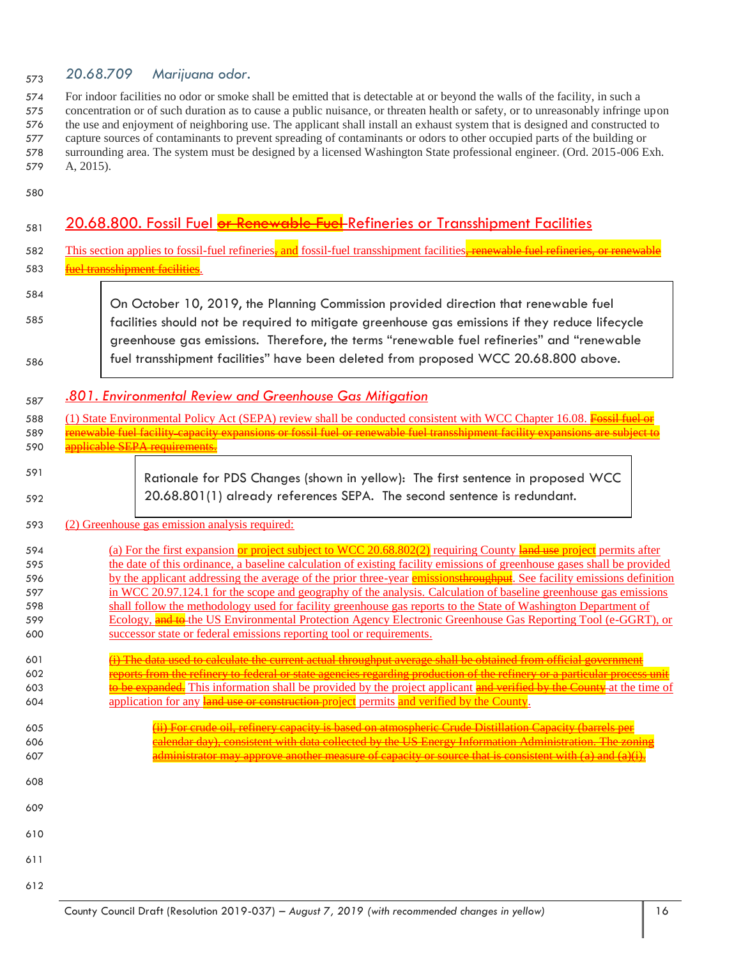## *20.68.709 Marijuana odor.* <sup>573</sup>

 For indoor facilities no odor or smoke shall be emitted that is detectable at or beyond the walls of the facility, in such a concentration or of such duration as to cause a public nuisance, or threaten health or safety, or to unreasonably infringe upon the use and enjoyment of neighboring use. The applicant shall install an exhaust system that is designed and constructed to capture sources of contaminants to prevent spreading of contaminants or odors to other occupied parts of the building or surrounding area. The system must be designed by a licensed Washington State professional engineer. (Ord. 2015-006 Exh. A, 2015).

580

| 581        | 20.68.800. Fossil Fuel or Renewable Fuel-Refineries or Transshipment Facilities                                                                                                                                                                                                     |  |  |
|------------|-------------------------------------------------------------------------------------------------------------------------------------------------------------------------------------------------------------------------------------------------------------------------------------|--|--|
| 582        | This section applies to fossil-fuel refineries, and fossil-fuel transshipment facilities, renewable fuel refineries, or ren                                                                                                                                                         |  |  |
| 583        |                                                                                                                                                                                                                                                                                     |  |  |
|            |                                                                                                                                                                                                                                                                                     |  |  |
| 584<br>585 | On October 10, 2019, the Planning Commission provided direction that renewable fuel<br>facilities should not be required to mitigate greenhouse gas emissions if they reduce lifecycle<br>greenhouse gas emissions. Therefore, the terms "renewable fuel refineries" and "renewable |  |  |
| 586        | fuel transshipment facilities" have been deleted from proposed WCC 20.68.800 above.                                                                                                                                                                                                 |  |  |
| 587        | .801. Environmental Review and Greenhouse Gas Mitigation                                                                                                                                                                                                                            |  |  |
| 588        | (1) State Environmental Policy Act (SEPA) review shall be conducted consistent with WCC Chapter 16.08. Fossil fu                                                                                                                                                                    |  |  |
| 589        | fuel facility capacity expansions or fossil fuel or renewable fuel transshipment facility expansions are s                                                                                                                                                                          |  |  |
| 590        | icable SEPA requirements.                                                                                                                                                                                                                                                           |  |  |
| 591<br>592 | Rationale for PDS Changes (shown in yellow): The first sentence in proposed WCC<br>20.68.801(1) already references SEPA. The second sentence is redundant.                                                                                                                          |  |  |
| 593        | (2) Greenhouse gas emission analysis required:                                                                                                                                                                                                                                      |  |  |
| 594        | (a) For the first expansion or project subject to WCC 20.68.802(2) requiring County $\frac{1}{2}$ and use project permits after                                                                                                                                                     |  |  |
| 595        | the date of this ordinance, a baseline calculation of existing facility emissions of greenhouse gases shall be provided                                                                                                                                                             |  |  |
| 596        | by the applicant addressing the average of the prior three-year emissions throughput. See facility emissions definition                                                                                                                                                             |  |  |
| 597        | in WCC 20.97.124.1 for the scope and geography of the analysis. Calculation of baseline greenhouse gas emissions                                                                                                                                                                    |  |  |
| 598        | shall follow the methodology used for facility greenhouse gas reports to the State of Washington Department of                                                                                                                                                                      |  |  |
| 599<br>600 | Ecology, and to the US Environmental Protection Agency Electronic Greenhouse Gas Reporting Tool (e-GGRT), or<br>successor state or federal emissions reporting tool or requirements.                                                                                                |  |  |
|            |                                                                                                                                                                                                                                                                                     |  |  |
| 601        | (i) The data used to calculate the current actual throughput average shall be obtained from official government                                                                                                                                                                     |  |  |
| 602        | reports from the refinery to federal or state agencies regarding production of the refinery or a particular process unit                                                                                                                                                            |  |  |
| 603        | to be expanded. This information shall be provided by the project applicant and verified by the County at the time of                                                                                                                                                               |  |  |
| 604        | application for any land use or construction-project permits and verified by the County.                                                                                                                                                                                            |  |  |
| 605        | For crude oil, refinery capacity is based on atmospheric Crude Distillation Capacity (barre                                                                                                                                                                                         |  |  |
| 606        | alendar day), consistent with data collected by the US Energy Information Administration. The zoni:                                                                                                                                                                                 |  |  |
| 607        | $\alpha$ that is consistent with $(\alpha)$ and $(\alpha)$                                                                                                                                                                                                                          |  |  |
| 608        |                                                                                                                                                                                                                                                                                     |  |  |
| 609        |                                                                                                                                                                                                                                                                                     |  |  |
| 610        |                                                                                                                                                                                                                                                                                     |  |  |
| 611        |                                                                                                                                                                                                                                                                                     |  |  |
| 612        |                                                                                                                                                                                                                                                                                     |  |  |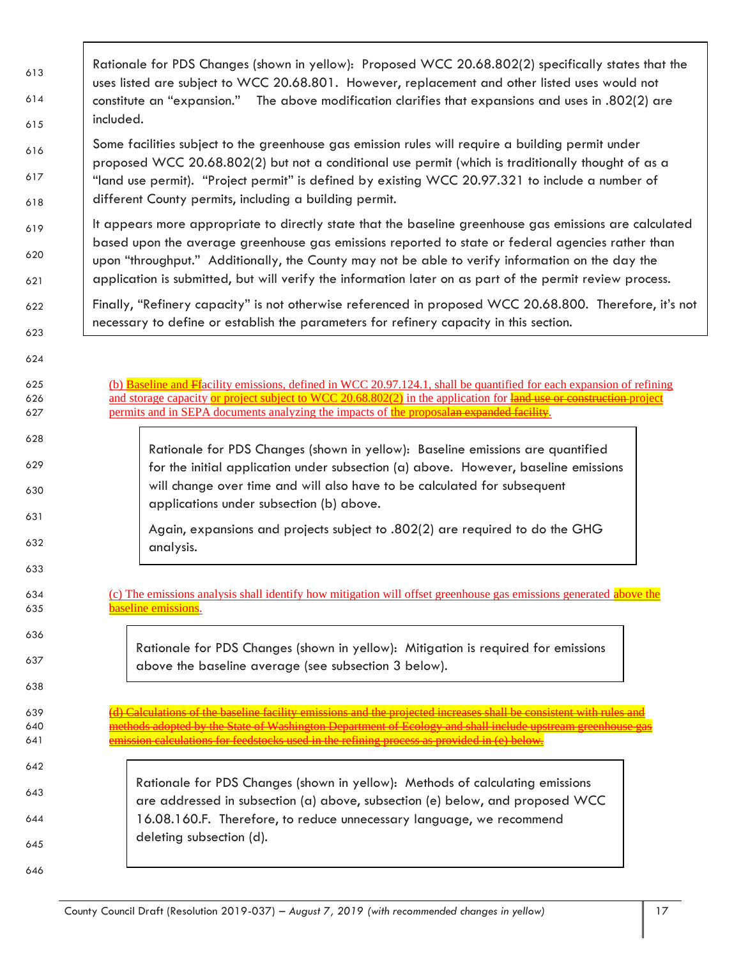| 613        | Rationale for PDS Changes (shown in yellow): Proposed WCC 20.68.802(2) specifically states that the<br>uses listed are subject to WCC 20.68.801. However, replacement and other listed uses would not<br>constitute an "expansion." The above modification clarifies that expansions and uses in .802(2) are<br>included. |  |  |  |
|------------|---------------------------------------------------------------------------------------------------------------------------------------------------------------------------------------------------------------------------------------------------------------------------------------------------------------------------|--|--|--|
| 614        |                                                                                                                                                                                                                                                                                                                           |  |  |  |
| 615        |                                                                                                                                                                                                                                                                                                                           |  |  |  |
| 616        | Some facilities subject to the greenhouse gas emission rules will require a building permit under                                                                                                                                                                                                                         |  |  |  |
| 617        | proposed WCC 20.68.802(2) but not a conditional use permit (which is traditionally thought of as a<br>"land use permit). "Project permit" is defined by existing WCC 20.97.321 to include a number of                                                                                                                     |  |  |  |
| 618        | different County permits, including a building permit.                                                                                                                                                                                                                                                                    |  |  |  |
| 619        | It appears more appropriate to directly state that the baseline greenhouse gas emissions are calculated<br>based upon the average greenhouse gas emissions reported to state or federal agencies rather than                                                                                                              |  |  |  |
| 620        | upon "throughput." Additionally, the County may not be able to verify information on the day the                                                                                                                                                                                                                          |  |  |  |
| 621        | application is submitted, but will verify the information later on as part of the permit review process.                                                                                                                                                                                                                  |  |  |  |
| 622        | Finally, "Refinery capacity" is not otherwise referenced in proposed WCC 20.68.800. Therefore, it's not<br>necessary to define or establish the parameters for refinery capacity in this section.                                                                                                                         |  |  |  |
| 623        |                                                                                                                                                                                                                                                                                                                           |  |  |  |
| 624        |                                                                                                                                                                                                                                                                                                                           |  |  |  |
| 625        | (b) Baseline and Ffacility emissions, defined in WCC 20.97.124.1, shall be quantified for each expansion of refining                                                                                                                                                                                                      |  |  |  |
| 626<br>627 | and storage capacity or project subject to WCC 20.68.802(2) in the application for land use or construction-project<br>permits and in SEPA documents analyzing the impacts of the proposalan expanded facility.                                                                                                           |  |  |  |
| 628        |                                                                                                                                                                                                                                                                                                                           |  |  |  |
| 629        | Rationale for PDS Changes (shown in yellow): Baseline emissions are quantified<br>for the initial application under subsection (a) above. However, baseline emissions                                                                                                                                                     |  |  |  |
| 630        | will change over time and will also have to be calculated for subsequent                                                                                                                                                                                                                                                  |  |  |  |
| 631        | applications under subsection (b) above.                                                                                                                                                                                                                                                                                  |  |  |  |
| 632        | Again, expansions and projects subject to .802(2) are required to do the GHG<br>analysis.                                                                                                                                                                                                                                 |  |  |  |
| 633        |                                                                                                                                                                                                                                                                                                                           |  |  |  |
|            |                                                                                                                                                                                                                                                                                                                           |  |  |  |
| 634<br>635 | (c) The emissions analysis shall identify how mitigation will offset greenhouse gas emissions generated above the<br>baseline emissions.                                                                                                                                                                                  |  |  |  |
| 636        | Rationale for PDS Changes (shown in yellow): Mitigation is required for emissions                                                                                                                                                                                                                                         |  |  |  |
| 637        | above the baseline average (see subsection 3 below).                                                                                                                                                                                                                                                                      |  |  |  |
| 638        |                                                                                                                                                                                                                                                                                                                           |  |  |  |
| 639        | Calculations of the baseline facility emissions and the projected increases shall be consistent with rules                                                                                                                                                                                                                |  |  |  |
| 640<br>641 | ethods adopted by the State of Washington Department of Ecology and shall include upstream greenhouse<br>nission calculations for feedstocks used in the refining process as provided in (e) below.                                                                                                                       |  |  |  |
| 642        |                                                                                                                                                                                                                                                                                                                           |  |  |  |
| 643        | Rationale for PDS Changes (shown in yellow): Methods of calculating emissions                                                                                                                                                                                                                                             |  |  |  |
| 644        | are addressed in subsection (a) above, subsection (e) below, and proposed WCC<br>16.08.160.F. Therefore, to reduce unnecessary language, we recommend                                                                                                                                                                     |  |  |  |
|            | deleting subsection (d).                                                                                                                                                                                                                                                                                                  |  |  |  |
| 645        |                                                                                                                                                                                                                                                                                                                           |  |  |  |
| 646        |                                                                                                                                                                                                                                                                                                                           |  |  |  |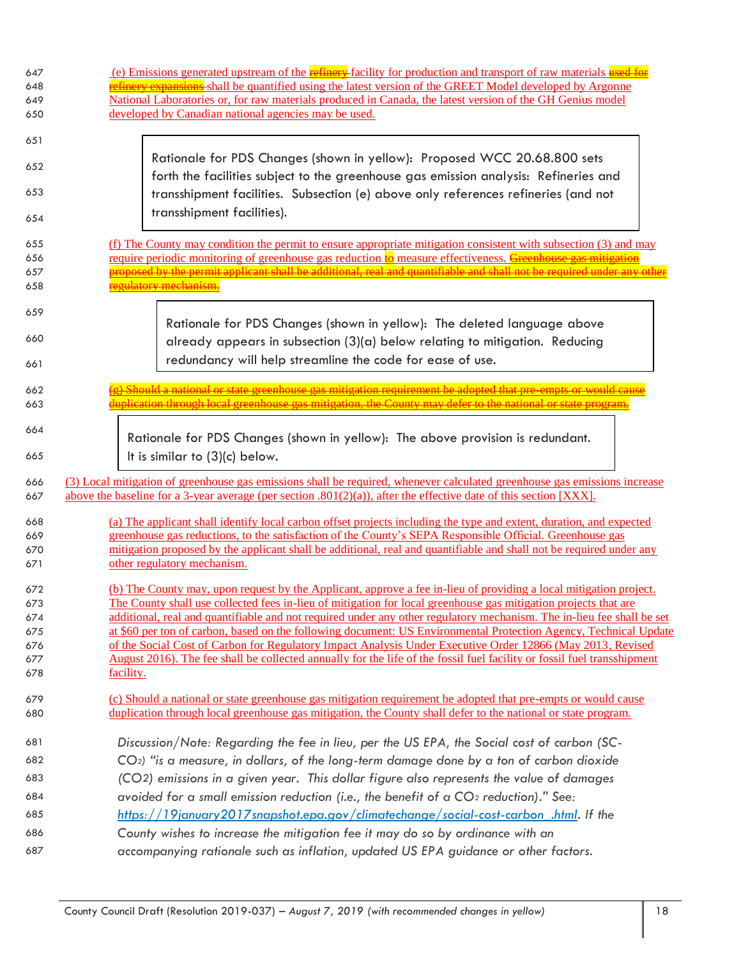| 647<br>648 | (e) Emissions generated upstream of the <b>refinery</b> -facility for production and transport of raw materials used for<br><b>efinery expansions</b> shall be quantified using the latest version of the GREET Model developed by Argonne        |  |  |
|------------|---------------------------------------------------------------------------------------------------------------------------------------------------------------------------------------------------------------------------------------------------|--|--|
| 649        | National Laboratories or, for raw materials produced in Canada, the latest version of the GH Genius model                                                                                                                                         |  |  |
| 650        | developed by Canadian national agencies may be used.                                                                                                                                                                                              |  |  |
| 651        |                                                                                                                                                                                                                                                   |  |  |
| 652        | Rationale for PDS Changes (shown in yellow): Proposed WCC 20.68.800 sets<br>forth the facilities subject to the greenhouse gas emission analysis: Refineries and                                                                                  |  |  |
| 653        | transshipment facilities. Subsection (e) above only references refineries (and not                                                                                                                                                                |  |  |
| 654        | transshipment facilities).                                                                                                                                                                                                                        |  |  |
| 655        | (f) The County may condition the permit to ensure appropriate mitigation consistent with subsection (3) and may                                                                                                                                   |  |  |
| 656        | require periodic monitoring of greenhouse gas reduction to measure effectiveness. Greenhouse gas mitigation                                                                                                                                       |  |  |
| 657        | proposed by the permit applicant shall be additional, real and quantifiable and shall not be required under any other                                                                                                                             |  |  |
| 658        | regulatory mechanism.                                                                                                                                                                                                                             |  |  |
| 659        | Rationale for PDS Changes (shown in yellow): The deleted language above                                                                                                                                                                           |  |  |
| 660        | already appears in subsection (3)(a) below relating to mitigation. Reducing<br>redundancy will help streamline the code for ease of use.                                                                                                          |  |  |
| 661        | Should a national or state greenhouse gas mitigation requirement be adopted that pre-empts or would cause                                                                                                                                         |  |  |
| 662<br>663 | duplication through local greenhouse gas mitigation, the County may defer to the national or state program.                                                                                                                                       |  |  |
| 664        | Rationale for PDS Changes (shown in yellow): The above provision is redundant.                                                                                                                                                                    |  |  |
| 665        | It is similar to (3)(c) below.                                                                                                                                                                                                                    |  |  |
| 666<br>667 | (3) Local mitigation of greenhouse gas emissions shall be required, whenever calculated greenhouse gas emissions increase<br>above the baseline for a 3-year average (per section $.801(2)(a)$ ), after the effective date of this section [XXX]. |  |  |
| 668        | (a) The applicant shall identify local carbon offset projects including the type and extent, duration, and expected                                                                                                                               |  |  |
| 669<br>670 | greenhouse gas reductions, to the satisfaction of the County's SEPA Responsible Official. Greenhouse gas                                                                                                                                          |  |  |
| 671        | mitigation proposed by the applicant shall be additional, real and quantifiable and shall not be required under any<br>other regulatory mechanism.                                                                                                |  |  |
| 672        | (b) The County may, upon request by the Applicant, approve a fee in-lieu of providing a local mitigation project.                                                                                                                                 |  |  |
| 673<br>674 | The County shall use collected fees in-lieu of mitigation for local greenhouse gas mitigation projects that are<br>additional, real and quantifiable and not required under any other regulatory mechanism. The in-lieu fee shall be set          |  |  |
| 675        | at \$60 per ton of carbon, based on the following document: US Environmental Protection Agency, Technical Update                                                                                                                                  |  |  |
| 676        | of the Social Cost of Carbon for Regulatory Impact Analysis Under Executive Order 12866 (May 2013, Revised                                                                                                                                        |  |  |
| 677        | August 2016). The fee shall be collected annually for the life of the fossil fuel facility or fossil fuel transshipment                                                                                                                           |  |  |
| 678        | facility.                                                                                                                                                                                                                                         |  |  |
| 679<br>680 | (c) Should a national or state greenhouse gas mitigation requirement be adopted that pre-empts or would cause<br>duplication through local greenhouse gas mitigation, the County shall defer to the national or state program.                    |  |  |
| 681        | Discussion/Note: Regarding the fee in lieu, per the US EPA, the Social cost of carbon (SC-                                                                                                                                                        |  |  |
| 682        | $CO2$ ) "is a measure, in dollars, of the long-term damage done by a ton of carbon dioxide                                                                                                                                                        |  |  |
| 683        |                                                                                                                                                                                                                                                   |  |  |
|            |                                                                                                                                                                                                                                                   |  |  |
| 684        | (CO2) emissions in a given year. This dollar figure also represents the value of damages                                                                                                                                                          |  |  |
| 685        | avoided for a small emission reduction (i.e., the benefit of a CO <sub>2</sub> reduction)." See:<br>https://19january2017snapshot.epa.gov/climatechange/social-cost-carbon .html. If the                                                          |  |  |
| 686        | County wishes to increase the mitigation fee it may do so by ordinance with an                                                                                                                                                                    |  |  |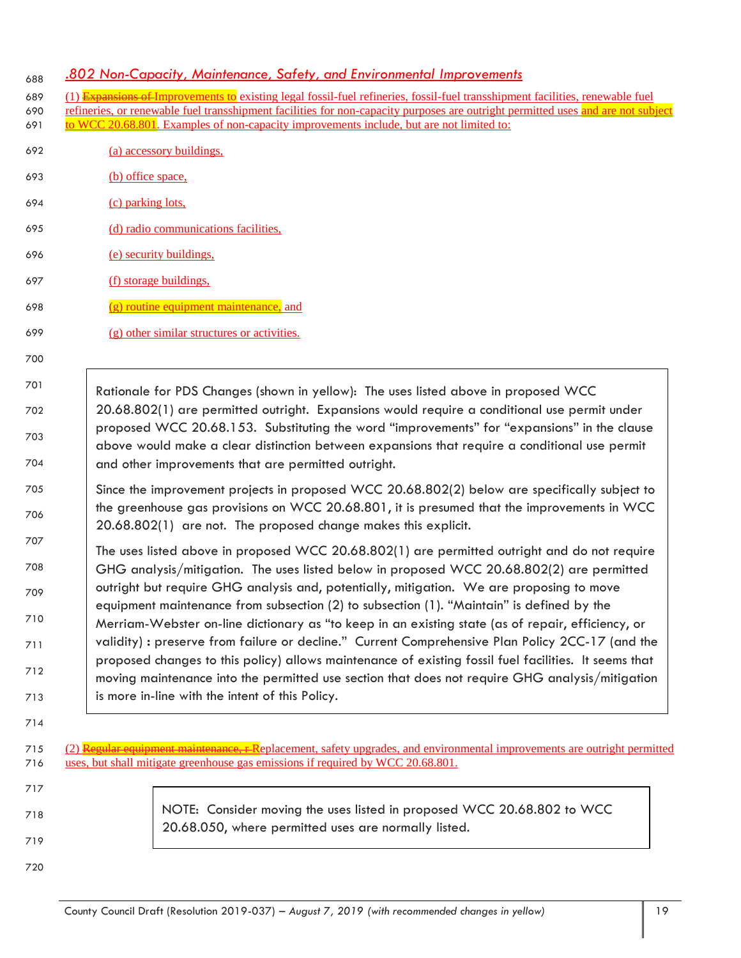#### *.802 Non-Capacity, Maintenance, Safety, and Environmental Improvements* <sup>688</sup>

| 689 (1) Expansions of Improvements to existing legal fossil-fuel refineries, fossil-fuel transshipment facilities, renewable fuel    |
|--------------------------------------------------------------------------------------------------------------------------------------|
| 690 refineries, or renewable fuel transshipment facilities for non-capacity purposes are outright permitted uses and are not subject |

- 691 to WCC 20.68.801. Examples of non-capacity improvements include, but are not limited to:
- 692 (a) accessory buildings,
- 693 (b) office space,
- 694 (c) parking lots,
- 695 (d) radio communications facilities,
- 696 (e) security buildings,
- 697 (f) storage buildings,

700

- 698 (g) routine equipment maintenance, and
- 699 (g) other similar structures or activities.
- 701 702 703 704 Rationale for PDS Changes (shown in yellow): The uses listed above in proposed WCC 20.68.802(1) are permitted outright. Expansions would require a conditional use permit under proposed WCC 20.68.153. Substituting the word "improvements" for "expansions" in the clause above would make a clear distinction between expansions that require a conditional use permit and other improvements that are permitted outright.
- 705 706 Since the improvement projects in proposed WCC 20.68.802(2) below are specifically subject to the greenhouse gas provisions on WCC 20.68.801, it is presumed that the improvements in WCC 20.68.802(1) are not. The proposed change makes this explicit.
- 707 708 709 710 711 712 713 The uses listed above in proposed WCC 20.68.802(1) are permitted outright and do not require GHG analysis/mitigation. The uses listed below in proposed WCC 20.68.802(2) are permitted outright but require GHG analysis and, potentially, mitigation. We are proposing to move equipment maintenance from subsection (2) to subsection (1). "Maintain" is defined by the Merriam-Webster on-line dictionary as "to keep in an existing state (as of repair, efficiency, or validity) **:** preserve from failure or decline." Current Comprehensive Plan Policy 2CC-17 (and the proposed changes to this policy) allows maintenance of existing fossil fuel facilities. It seems that moving maintenance into the permitted use section that does not require GHG analysis/mitigation is more in-line with the intent of this Policy.
- 715 (2) Regular equipment maintenance, r Replacement, safety upgrades, and environmental improvements are outright permitted 716 uses, but shall mitigate greenhouse gas emissions if required by WCC 20.68.801.
- 717 718 719 NOTE: Consider moving the uses listed in proposed WCC 20.68.802 to WCC 20.68.050, where permitted uses are normally listed.
- 720

714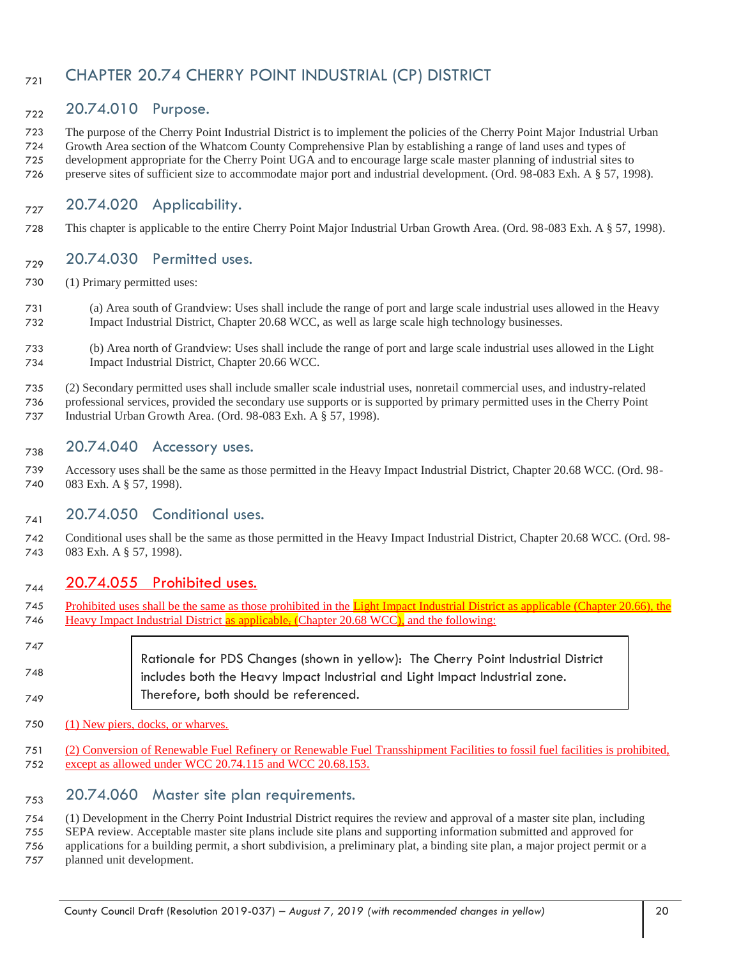## <sub>721</sub> CHAPTER 20.74 CHERRY POINT INDUSTRIAL (CP) DISTRICT

## 722 20.74.010 Purpose.

 The purpose of the Cherry Point Industrial District is to implement the policies of the Cherry Point Major Industrial Urban Growth Area section of the Whatcom County Comprehensive Plan by establishing a range of land uses and types of development appropriate for the Cherry Point UGA and to encourage large scale master planning of industrial sites to preserve sites of sufficient size to accommodate major port and industrial development. (Ord. 98-083 Exh. A § 57, 1998).

## $_{727}$  20.74.020 Applicability.

This chapter is applicable to the entire Cherry Point Major Industrial Urban Growth Area. (Ord. 98-083 Exh. A § 57, 1998).

#### $_{729}$  20.74.030 Permitted uses.

- (1) Primary permitted uses:
- (a) Area south of Grandview: Uses shall include the range of port and large scale industrial uses allowed in the Heavy Impact Industrial District, Chapter 20.68 WCC, as well as large scale high technology businesses.
- (b) Area north of Grandview: Uses shall include the range of port and large scale industrial uses allowed in the Light Impact Industrial District, Chapter 20.66 WCC.
- (2) Secondary permitted uses shall include smaller scale industrial uses, nonretail commercial uses, and industry-related professional services, provided the secondary use supports or is supported by primary permitted uses in the Cherry Point
- Industrial Urban Growth Area. (Ord. 98-083 Exh. A § 57, 1998).

#### $_{738}$  20.74.040 Accessory uses.

 Accessory uses shall be the same as those permitted in the Heavy Impact Industrial District, Chapter 20.68 WCC. (Ord. 98- 083 Exh. A § 57, 1998).

#### $_{741}$  20.74.050 Conditional uses.

 Conditional uses shall be the same as those permitted in the Heavy Impact Industrial District, Chapter 20.68 WCC. (Ord. 98- 083 Exh. A § 57, 1998).

#### 744 20.74.055 Prohibited uses.

745 Prohibited uses shall be the same as those prohibited in the Light Impact Industrial District as applicable (Chapter 20.66), the 746 Heavy Impact Industrial District as applicable, (Chapter 20.68 WCC), and the following:

#### Rationale for PDS Changes (shown in yellow): The Cherry Point Industrial District includes both the Heavy Impact Industrial and Light Impact Industrial zone. Therefore, both should be referenced.

- (1) New piers, docks, or wharves.
- (2) Conversion of Renewable Fuel Refinery or Renewable Fuel Transshipment Facilities to fossil fuel facilities is prohibited, except as allowed under WCC 20.74.115 and WCC 20.68.153.

#### $_{753}$  20.74.060 Master site plan requirements.

(1) Development in the Cherry Point Industrial District requires the review and approval of a master site plan, including

- SEPA review. Acceptable master site plans include site plans and supporting information submitted and approved for
- applications for a building permit, a short subdivision, a preliminary plat, a binding site plan, a major project permit or a planned unit development.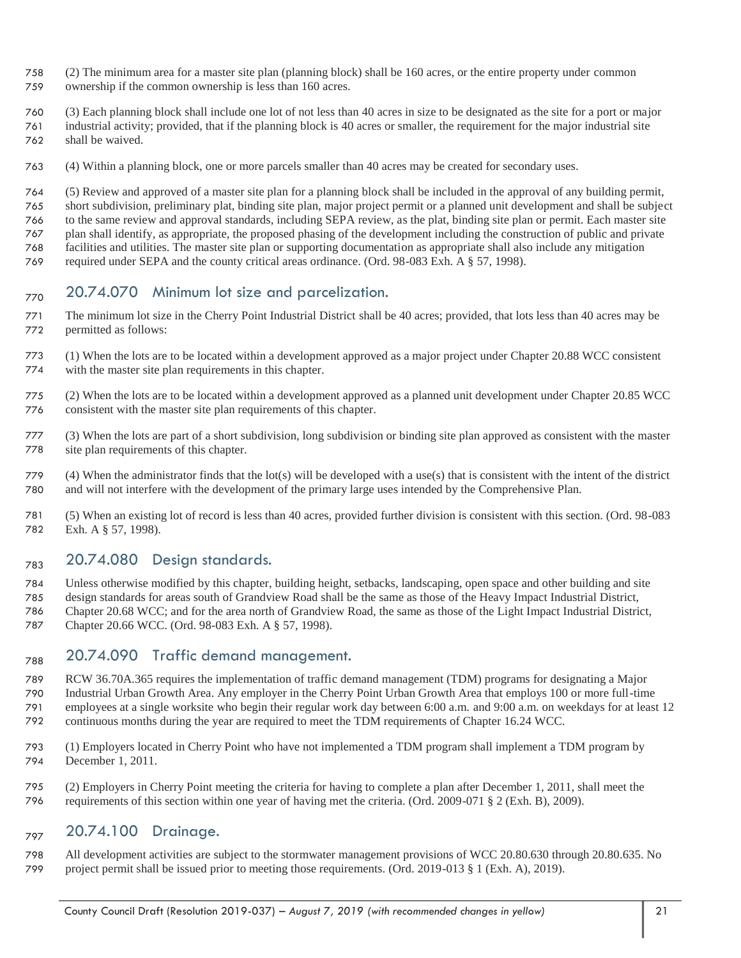- (2) The minimum area for a master site plan (planning block) shall be 160 acres, or the entire property under common
- ownership if the common ownership is less than 160 acres.
- (3) Each planning block shall include one lot of not less than 40 acres in size to be designated as the site for a port or major industrial activity; provided, that if the planning block is 40 acres or smaller, the requirement for the major industrial site
- shall be waived.
- (4) Within a planning block, one or more parcels smaller than 40 acres may be created for secondary uses.

(5) Review and approved of a master site plan for a planning block shall be included in the approval of any building permit,

short subdivision, preliminary plat, binding site plan, major project permit or a planned unit development and shall be subject

 to the same review and approval standards, including SEPA review, as the plat, binding site plan or permit. Each master site plan shall identify, as appropriate, the proposed phasing of the development including the construction of public and private

- facilities and utilities. The master site plan or supporting documentation as appropriate shall also include any mitigation
- required under SEPA and the county critical areas ordinance. (Ord. 98-083 Exh. A § 57, 1998).

## $_{770}$  20.74.070 Minimum lot size and parcelization.

- The minimum lot size in the Cherry Point Industrial District shall be 40 acres; provided, that lots less than 40 acres may be permitted as follows:
- (1) When the lots are to be located within a development approved as a major project under Chapter 20.88 WCC consistent with the master site plan requirements in this chapter.
- (2) When the lots are to be located within a development approved as a planned unit development under Chapter 20.85 WCC consistent with the master site plan requirements of this chapter.
- (3) When the lots are part of a short subdivision, long subdivision or binding site plan approved as consistent with the master site plan requirements of this chapter.
- (4) When the administrator finds that the lot(s) will be developed with a use(s) that is consistent with the intent of the district and will not interfere with the development of the primary large uses intended by the Comprehensive Plan.
- (5) When an existing lot of record is less than 40 acres, provided further division is consistent with this section. (Ord. 98-083 Exh. A § 57, 1998).

## $_{783}$  20.74.080 Design standards.

- Unless otherwise modified by this chapter, building height, setbacks, landscaping, open space and other building and site
- design standards for areas south of Grandview Road shall be the same as those of the Heavy Impact Industrial District,
- Chapter 20.68 WCC; and for the area north of Grandview Road, the same as those of the Light Impact Industrial District, Chapter 20.66 WCC. (Ord. 98-083 Exh. A § 57, 1998).

## $_{788}$  20.74.090 Traffic demand management.

- RCW 36.70A.365 requires the implementation of traffic demand management (TDM) programs for designating a Major Industrial Urban Growth Area. Any employer in the Cherry Point Urban Growth Area that employs 100 or more full-time employees at a single worksite who begin their regular work day between 6:00 a.m. and 9:00 a.m. on weekdays for at least 12 continuous months during the year are required to meet the TDM requirements of Chapter 16.24 WCC.
- (1) Employers located in Cherry Point who have not implemented a TDM program shall implement a TDM program by December 1, 2011.
- (2) Employers in Cherry Point meeting the criteria for having to complete a plan after December 1, 2011, shall meet the requirements of this section within one year of having met the criteria. (Ord. 2009-071 § 2 (Exh. B), 2009).

## <sub>797</sub> 20.74.100 Drainage.

 All development activities are subject to the stormwater management provisions of WCC 20.80.630 through 20.80.635. No project permit shall be issued prior to meeting those requirements. (Ord. 2019-013 § 1 (Exh. A), 2019).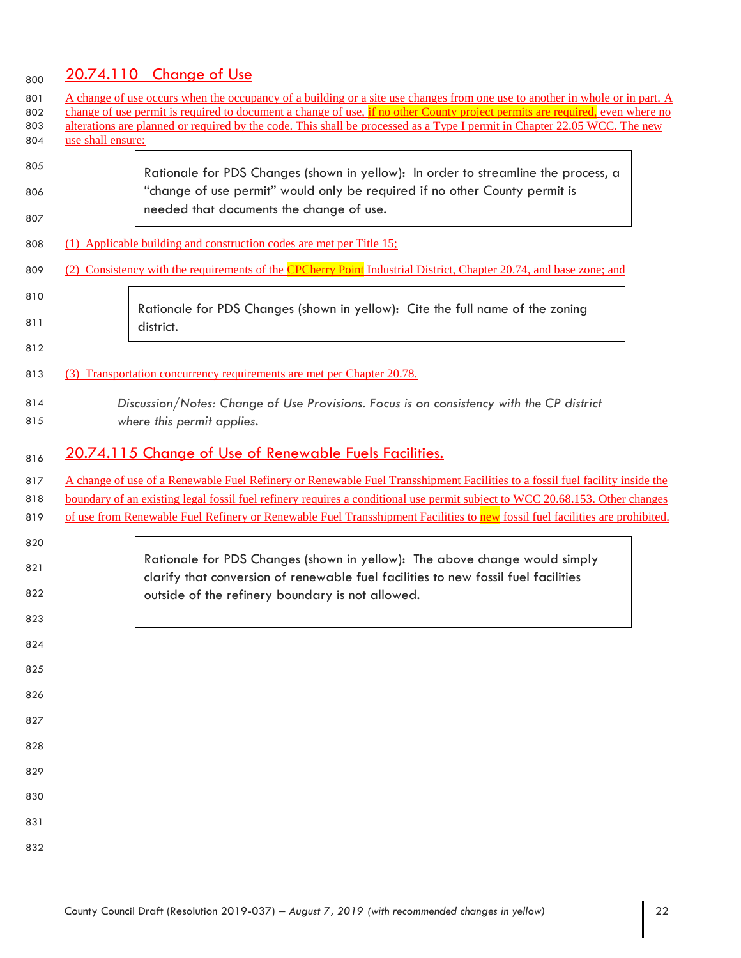# 800 20.74.110 Change of Use

| 801<br>802<br>803<br>804 | use shall ensure: | A change of use occurs when the occupancy of a building or a site use changes from one use to another in whole or in part. A<br>change of use permit is required to document a change of use, if no other County project permits are required, even where no<br>alterations are planned or required by the code. This shall be processed as a Type I permit in Chapter 22.05 WCC. The new |
|--------------------------|-------------------|-------------------------------------------------------------------------------------------------------------------------------------------------------------------------------------------------------------------------------------------------------------------------------------------------------------------------------------------------------------------------------------------|
| 805<br>806<br>807        |                   | Rationale for PDS Changes (shown in yellow): In order to streamline the process, a<br>"change of use permit" would only be required if no other County permit is<br>needed that documents the change of use.                                                                                                                                                                              |
| 808                      |                   | (1) Applicable building and construction codes are met per Title 15;                                                                                                                                                                                                                                                                                                                      |
| 809                      |                   | (2) Consistency with the requirements of the <b>CPC</b> herry Point Industrial District, Chapter 20.74, and base zone; and                                                                                                                                                                                                                                                                |
| 810<br>811<br>812        |                   | Rationale for PDS Changes (shown in yellow): Cite the full name of the zoning<br>district.                                                                                                                                                                                                                                                                                                |
| 813                      |                   | (3) Transportation concurrency requirements are met per Chapter 20.78.                                                                                                                                                                                                                                                                                                                    |
| 814<br>815               |                   | Discussion/Notes: Change of Use Provisions. Focus is on consistency with the CP district<br>where this permit applies.                                                                                                                                                                                                                                                                    |
| 816                      |                   | 20.74.115 Change of Use of Renewable Fuels Facilities.                                                                                                                                                                                                                                                                                                                                    |
| 817                      |                   | A change of use of a Renewable Fuel Refinery or Renewable Fuel Transshipment Facilities to a fossil fuel facility inside the                                                                                                                                                                                                                                                              |
| 818<br>819               |                   | boundary of an existing legal fossil fuel refinery requires a conditional use permit subject to WCC 20.68.153. Other changes<br>of use from Renewable Fuel Refinery or Renewable Fuel Transshipment Facilities to new fossil fuel facilities are prohibited.                                                                                                                              |
| 820                      |                   |                                                                                                                                                                                                                                                                                                                                                                                           |
| 821                      |                   | Rationale for PDS Changes (shown in yellow): The above change would simply<br>clarify that conversion of renewable fuel facilities to new fossil fuel facilities                                                                                                                                                                                                                          |
| 822                      |                   | outside of the refinery boundary is not allowed.                                                                                                                                                                                                                                                                                                                                          |
| 823                      |                   |                                                                                                                                                                                                                                                                                                                                                                                           |
| 824                      |                   |                                                                                                                                                                                                                                                                                                                                                                                           |
| 825                      |                   |                                                                                                                                                                                                                                                                                                                                                                                           |
| 826                      |                   |                                                                                                                                                                                                                                                                                                                                                                                           |
| 827                      |                   |                                                                                                                                                                                                                                                                                                                                                                                           |
| 828                      |                   |                                                                                                                                                                                                                                                                                                                                                                                           |
| 829                      |                   |                                                                                                                                                                                                                                                                                                                                                                                           |
| 830                      |                   |                                                                                                                                                                                                                                                                                                                                                                                           |
| 831                      |                   |                                                                                                                                                                                                                                                                                                                                                                                           |
| 832                      |                   |                                                                                                                                                                                                                                                                                                                                                                                           |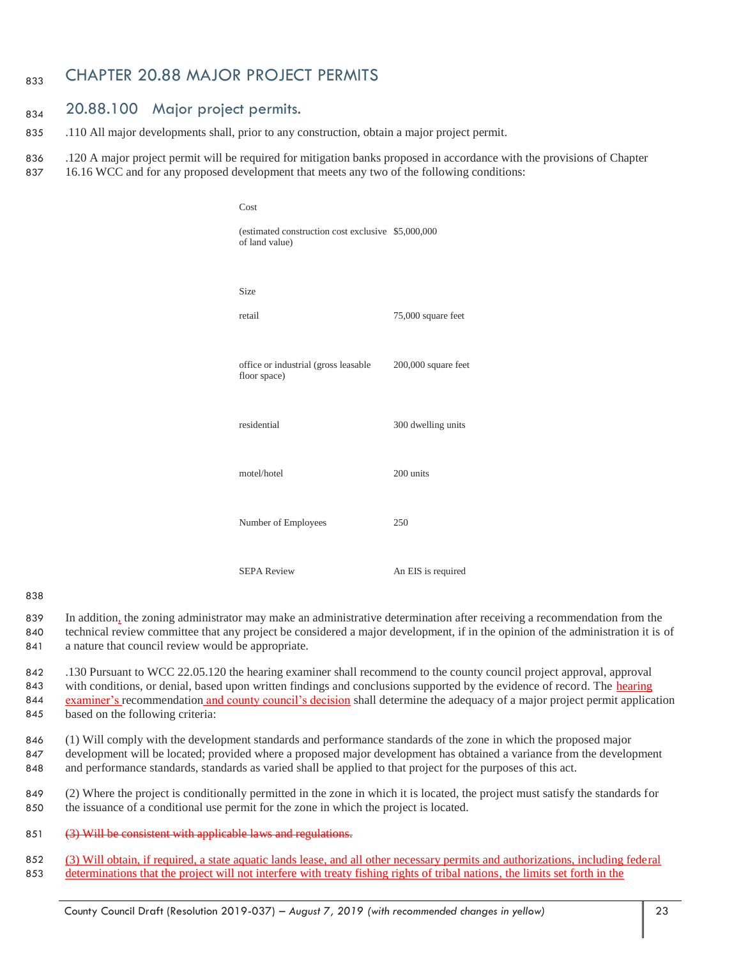## 833 CHAPTER 20.88 MAJOR PROJECT PERMITS

#### 834 20.88.100 Major project permits.

835 .110 All major developments shall, prior to any construction, obtain a major project permit.

836 .120 A major project permit will be required for mitigation banks proposed in accordance with the provisions of Chapter 837 16.16 WCC and for any proposed development that meets any two of the following conditions:

| Cost                                                                  |                     |
|-----------------------------------------------------------------------|---------------------|
| (estimated construction cost exclusive \$5,000,000)<br>of land value) |                     |
| <b>Size</b>                                                           |                     |
| retail                                                                | 75,000 square feet  |
| office or industrial (gross leasable<br>floor space)                  | 200,000 square feet |
| residential                                                           | 300 dwelling units  |
| motel/hotel                                                           | 200 units           |
| Number of Employees                                                   | 250                 |
| <b>SEPA Review</b>                                                    | An EIS is required  |

#### 838

- 839 In addition, the zoning administrator may make an administrative determination after receiving a recommendation from the
- 840 technical review committee that any project be considered a major development, if in the opinion of the administration it is of 841 a nature that council review would be appropriate.
- 842 .130 Pursuant to WCC 22.05.120 the hearing examiner shall recommend to the county council project approval, approval 843 with conditions, or denial, based upon written findings and conclusions supported by the evidence of record. The hearing 844 examiner's recommendation and county council's decision shall determine the adequacy of a major project permit application 845 based on the following criteria:
- 846 (1) Will comply with the development standards and performance standards of the zone in which the proposed major 847 development will be located; provided where a proposed major development has obtained a variance from the development 848 and performance standards, standards as varied shall be applied to that project for the purposes of this act.
- 849 (2) Where the project is conditionally permitted in the zone in which it is located, the project must satisfy the standards for 850 the issuance of a conditional use permit for the zone in which the project is located.
- 851 (3) Will be consistent with applicable laws and regulations.
- 852 (3) Will obtain, if required, a state aquatic lands lease, and all other necessary permits and authorizations, including federal 853 determinations that the project will not interfere with treaty fishing rights of tribal nations, the limits set forth in the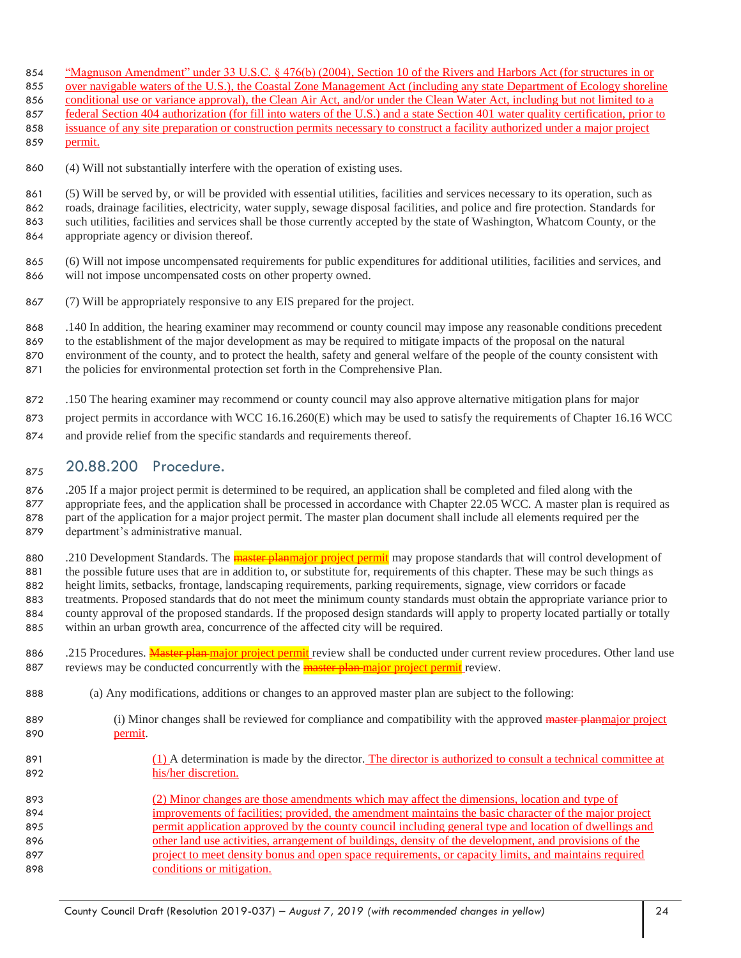- 854 "Magnuson Amendment" under 33 U.S.C. § 476(b) (2004), Section 10 of the Rivers and Harbors Act (for structures in or
- over navigable waters of the U.S.), the Coastal Zone Management Act (including any state Department of Ecology shoreline
- 856 conditional use or variance approval), the Clean Air Act, and/or under the Clean Water Act, including but not limited to a
- 857 federal Section 404 authorization (for fill into waters of the U.S.) and a state Section 401 water quality certification, prior to issuance of any site preparation or construction permits necessary to construct a facility authorized under a major project
- permit.
- (4) Will not substantially interfere with the operation of existing uses.
- (5) Will be served by, or will be provided with essential utilities, facilities and services necessary to its operation, such as roads, drainage facilities, electricity, water supply, sewage disposal facilities, and police and fire protection. Standards for such utilities, facilities and services shall be those currently accepted by the state of Washington, Whatcom County, or the appropriate agency or division thereof.
- (6) Will not impose uncompensated requirements for public expenditures for additional utilities, facilities and services, and will not impose uncompensated costs on other property owned.
- (7) Will be appropriately responsive to any EIS prepared for the project.
- .140 In addition, the hearing examiner may recommend or county council may impose any reasonable conditions precedent
- to the establishment of the major development as may be required to mitigate impacts of the proposal on the natural environment of the county, and to protect the health, safety and general welfare of the people of the county consistent with
- 871 the policies for environmental protection set forth in the Comprehensive Plan.
- .150 The hearing examiner may recommend or county council may also approve alternative mitigation plans for major
- project permits in accordance with WCC 16.16.260(E) which may be used to satisfy the requirements of Chapter 16.16 WCC
- and provide relief from the specific standards and requirements thereof.

## 875 20.88.200 Procedure.

 .205 If a major project permit is determined to be required, an application shall be completed and filed along with the appropriate fees, and the application shall be processed in accordance with Chapter 22.05 WCC. A master plan is required as part of the application for a major project permit. The master plan document shall include all elements required per the department's administrative manual.

- 880 .210 Development Standards. The **master planmajor project permit** may propose standards that will control development of the possible future uses that are in addition to, or substitute for, requirements of this chapter. These may be such things as height limits, setbacks, frontage, landscaping requirements, parking requirements, signage, view corridors or facade treatments. Proposed standards that do not meet the minimum county standards must obtain the appropriate variance prior to county approval of the proposed standards. If the proposed design standards will apply to property located partially or totally within an urban growth area, concurrence of the affected city will be required.
- 886 .215 Procedures. Master plan major project permit review shall be conducted under current review procedures. Other land use 887 reviews may be conducted concurrently with the **master plan major project permit** review.
- (a) Any modifications, additions or changes to an approved master plan are subject to the following:
- 889 (i) Minor changes shall be reviewed for compliance and compatibility with the approved master planmajor project permit.
- 891 (1) A determination is made by the director. The director is authorized to consult a technical committee at his/her discretion.
- (2) Minor changes are those amendments which may affect the dimensions, location and type of 894 improvements of facilities; provided, the amendment maintains the basic character of the major project permit application approved by the county council including general type and location of dwellings and other land use activities, arrangement of buildings, density of the development, and provisions of the project to meet density bonus and open space requirements, or capacity limits, and maintains required conditions or mitigation.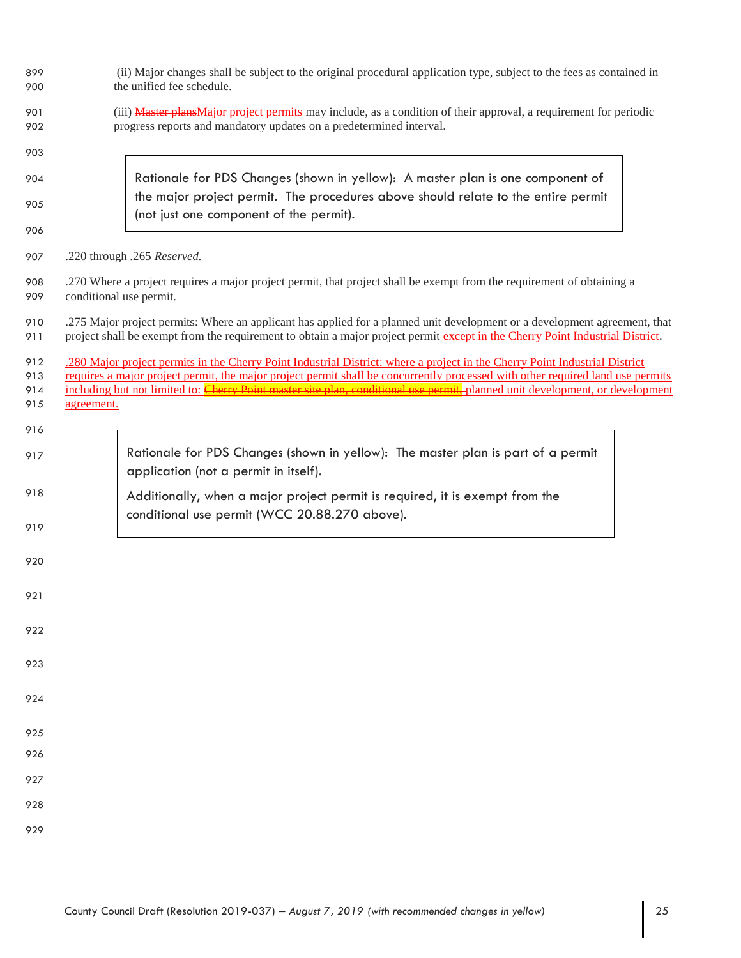| 899<br>900 | (ii) Major changes shall be subject to the original procedural application type, subject to the fees as contained in<br>the unified fee schedule.                                                                                                               |  |  |  |  |  |  |  |  |  |
|------------|-----------------------------------------------------------------------------------------------------------------------------------------------------------------------------------------------------------------------------------------------------------------|--|--|--|--|--|--|--|--|--|
| 901<br>902 | (iii) Master plans Major project permits may include, as a condition of their approval, a requirement for periodic<br>progress reports and mandatory updates on a predetermined interval.                                                                       |  |  |  |  |  |  |  |  |  |
| 903        |                                                                                                                                                                                                                                                                 |  |  |  |  |  |  |  |  |  |
| 904        | Rationale for PDS Changes (shown in yellow): A master plan is one component of                                                                                                                                                                                  |  |  |  |  |  |  |  |  |  |
| 905        | the major project permit. The procedures above should relate to the entire permit<br>(not just one component of the permit).                                                                                                                                    |  |  |  |  |  |  |  |  |  |
| 906        |                                                                                                                                                                                                                                                                 |  |  |  |  |  |  |  |  |  |
| 907        | .220 through .265 Reserved.                                                                                                                                                                                                                                     |  |  |  |  |  |  |  |  |  |
| 908<br>909 | .270 Where a project requires a major project permit, that project shall be exempt from the requirement of obtaining a<br>conditional use permit.                                                                                                               |  |  |  |  |  |  |  |  |  |
| 910<br>911 | .275 Major project permits: Where an applicant has applied for a planned unit development or a development agreement, that<br>project shall be exempt from the requirement to obtain a major project permit except in the Cherry Point Industrial District.     |  |  |  |  |  |  |  |  |  |
| 912        | .280 Major project permits in the Cherry Point Industrial District: where a project in the Cherry Point Industrial District                                                                                                                                     |  |  |  |  |  |  |  |  |  |
| 913<br>914 | requires a major project permit, the major project permit shall be concurrently processed with other required land use permits<br>including but not limited to: Cherry Point master site plan, conditional use permit, planned unit development, or development |  |  |  |  |  |  |  |  |  |
| 915        | agreement.                                                                                                                                                                                                                                                      |  |  |  |  |  |  |  |  |  |
| 916        |                                                                                                                                                                                                                                                                 |  |  |  |  |  |  |  |  |  |
| 917        | Rationale for PDS Changes (shown in yellow): The master plan is part of a permit<br>application (not a permit in itself).                                                                                                                                       |  |  |  |  |  |  |  |  |  |
| 918        | Additionally, when a major project permit is required, it is exempt from the<br>conditional use permit (WCC 20.88.270 above).                                                                                                                                   |  |  |  |  |  |  |  |  |  |
| 919        |                                                                                                                                                                                                                                                                 |  |  |  |  |  |  |  |  |  |
| 920        |                                                                                                                                                                                                                                                                 |  |  |  |  |  |  |  |  |  |
| 921        |                                                                                                                                                                                                                                                                 |  |  |  |  |  |  |  |  |  |
| 922        |                                                                                                                                                                                                                                                                 |  |  |  |  |  |  |  |  |  |
| 923        |                                                                                                                                                                                                                                                                 |  |  |  |  |  |  |  |  |  |
| 924        |                                                                                                                                                                                                                                                                 |  |  |  |  |  |  |  |  |  |
| 925        |                                                                                                                                                                                                                                                                 |  |  |  |  |  |  |  |  |  |
| 926        |                                                                                                                                                                                                                                                                 |  |  |  |  |  |  |  |  |  |
| 927        |                                                                                                                                                                                                                                                                 |  |  |  |  |  |  |  |  |  |
| 928        |                                                                                                                                                                                                                                                                 |  |  |  |  |  |  |  |  |  |
| 929        |                                                                                                                                                                                                                                                                 |  |  |  |  |  |  |  |  |  |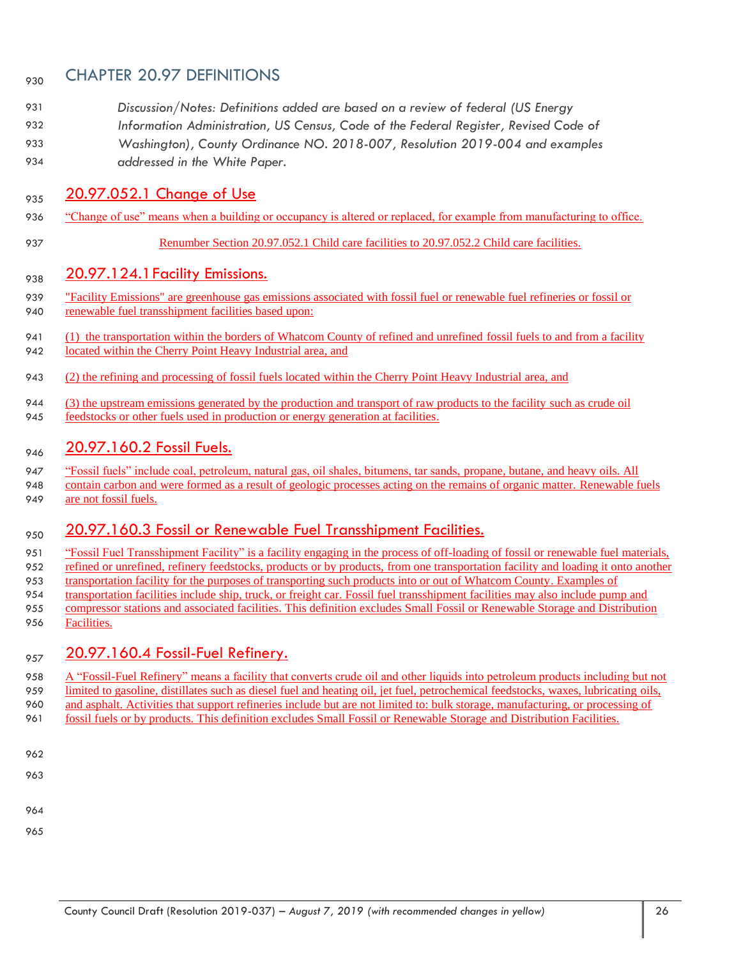## <sub>930</sub> CHAPTER 20.97 DEFINITIONS

- *Discussion/Notes: Definitions added are based on a review of federal (US Energy*
- *Information Administration, US Census, Code of the Federal Register, Revised Code of*
- *Washington), County Ordinance NO. 2018-007, Resolution 2019-004 and examples addressed in the White Paper.*

## 935 20.97.052.1 Change of Use

- "Change of use" means when a building or occupancy is altered or replaced, for example from manufacturing to office.
- Renumber Section 20.97.052.1 Child care facilities to 20.97.052.2 Child care facilities.

## $_{938}$   $20.97.124.1$  Facility Emissions.

- "Facility Emissions" are greenhouse gas emissions associated with fossil fuel or renewable fuel refineries or fossil or 940 renewable fuel transshipment facilities based upon:
- (1) the transportation within the borders of Whatcom County of refined and unrefined fossil fuels to and from a facility located within the Cherry Point Heavy Industrial area, and
- (2) the refining and processing of fossil fuels located within the Cherry Point Heavy Industrial area, and
- (3) the upstream emissions generated by the production and transport of raw products to the facility such as crude oil feedstocks or other fuels used in production or energy generation at facilities.

## 946 20.97.160.2 Fossil Fuels.

- "Fossil fuels" include coal, petroleum, natural gas, oil shales, bitumens, tar sands, propane, butane, and heavy oils. All
- contain carbon and were formed as a result of geologic processes acting on the remains of organic matter. Renewable fuels
- 949 are not fossil fuels.

## 950 20.97.160.3 Fossil or Renewable Fuel Transshipment Facilities.

- 951 "Fossil Fuel Transshipment Facility" is a facility engaging in the process of off-loading of fossil or renewable fuel materials, 952 refined or unrefined, refinery feedstocks, products or by products, from one transportation facility and loading it onto another transportation facility for the purposes of transporting such products into or out of Whatcom County. Examples of transportation facilities include ship, truck, or freight car. Fossil fuel transshipment facilities may also include pump and compressor stations and associated facilities. This definition excludes Small Fossil or Renewable Storage and Distribution
- Facilities.

## <sub>957</sub> 20.97.160.4 Fossil-Fuel Refinery.

- A "Fossil-Fuel Refinery" means a facility that converts crude oil and other liquids into petroleum products including but not
- limited to gasoline, distillates such as diesel fuel and heating oil, jet fuel, petrochemical feedstocks, waxes, lubricating oils, and asphalt. Activities that support refineries include but are not limited to: bulk storage, manufacturing, or processing of
- fossil fuels or by products. This definition excludes Small Fossil or Renewable Storage and Distribution Facilities.
- 
- 
- 
- 
- County Council Draft (Resolution 2019-037) *– August 7, 2019 (with recommended changes in yellow)* 26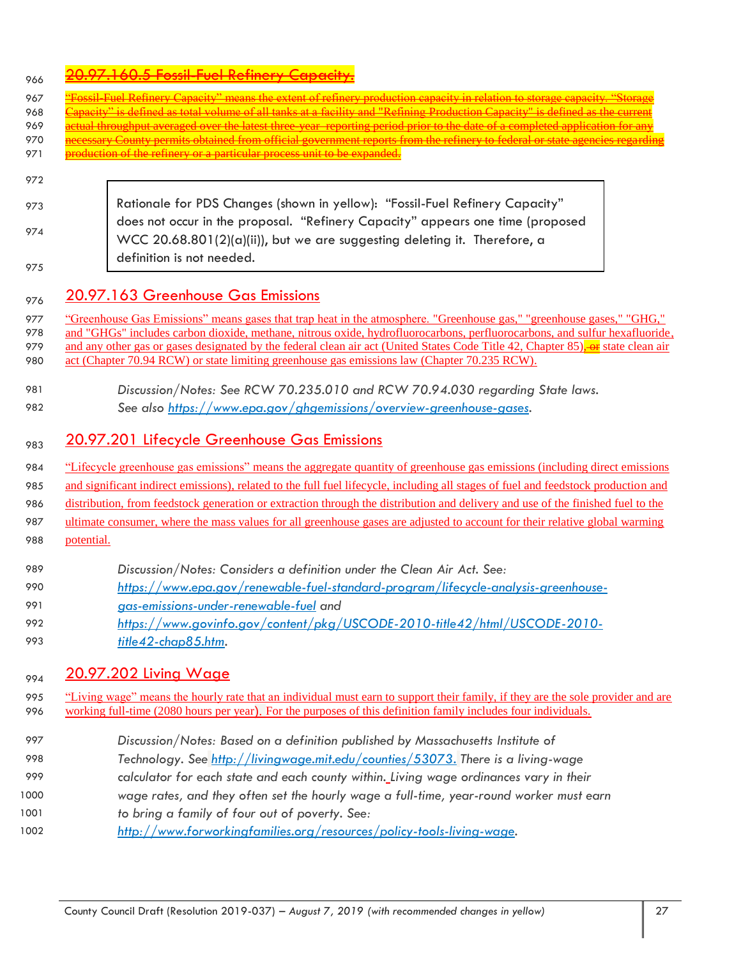|     |  |  | 20.07.160.5 Fossil Fuel Refinery Canacity                |
|-----|--|--|----------------------------------------------------------|
| 166 |  |  | <u>zvizzi i vviv i voili i vvi kvillivi i vvivudi i </u> |

| 966        |                                                                                                                                                                                                                  |
|------------|------------------------------------------------------------------------------------------------------------------------------------------------------------------------------------------------------------------|
| 967        | sil Fuel Refinery Capacity" means the extent of refinery production capacity in relation to storage capacity. "Stor                                                                                              |
| 968        | v" is defined as total volume of all tanks at a facility and "Refining Production Capacity" is defined as the curren                                                                                             |
| 969        | <u>etual throughput averaged over the latest three-year-reporting period prior to the date of a completed application for an</u>                                                                                 |
| 970<br>971 | <u>iecessary County permits obtained from official government reports from the refinery to federal or state agencies regar</u><br><u>production of the refinery or a particular process unit to be expanded.</u> |
|            |                                                                                                                                                                                                                  |
| 972        |                                                                                                                                                                                                                  |
| 973        | Rationale for PDS Changes (shown in yellow): "Fossil-Fuel Refinery Capacity"                                                                                                                                     |
|            | does not occur in the proposal. "Refinery Capacity" appears one time (proposed                                                                                                                                   |
| 974        | WCC 20.68.801(2)(a)(ii)), but we are suggesting deleting it. Therefore, a                                                                                                                                        |
|            | definition is not needed.                                                                                                                                                                                        |
| 975        |                                                                                                                                                                                                                  |
| 976        | 20.97.163 Greenhouse Gas Emissions                                                                                                                                                                               |
| 977        | "Greenhouse Gas Emissions" means gases that trap heat in the atmosphere. "Greenhouse gas," "greenhouse gases," "GHG,"                                                                                            |
| 978        | and "GHGs" includes carbon dioxide, methane, nitrous oxide, hydrofluorocarbons, perfluorocarbons, and sulfur hexafluoride,                                                                                       |
| 979        | and any other gas or gases designated by the federal clean air act (United States Code Title 42, Chapter 85), or state clean air                                                                                 |
| 980        | act (Chapter 70.94 RCW) or state limiting greenhouse gas emissions law (Chapter 70.235 RCW).                                                                                                                     |
| 981        | Discussion/Notes: See RCW 70.235.010 and RCW 70.94.030 regarding State laws.                                                                                                                                     |
| 982        | See also https://www.epa.gov/ghgemissions/overview-greenhouse-gases.                                                                                                                                             |
|            |                                                                                                                                                                                                                  |
| 983        | 20.97.201 Lifecycle Greenhouse Gas Emissions                                                                                                                                                                     |
| 984        | "Lifecycle greenhouse gas emissions" means the aggregate quantity of greenhouse gas emissions (including direct emissions                                                                                        |
| 985        | and significant indirect emissions), related to the full fuel lifecycle, including all stages of fuel and feedstock production and                                                                               |
| 986        | distribution, from feedstock generation or extraction through the distribution and delivery and use of the finished fuel to the                                                                                  |
| 987        | ultimate consumer, where the mass values for all greenhouse gases are adjusted to account for their relative global warming                                                                                      |
| 988        | potential.                                                                                                                                                                                                       |
|            |                                                                                                                                                                                                                  |
| 989        | Discussion/Notes: Considers a definition under the Clean Air Act. See:                                                                                                                                           |
| 990        | https://www.epa.gov/renewable-fuel-standard-program/lifecycle-analysis-greenhouse-                                                                                                                               |
| 991        | gas-emissions-under-renewable-fuel and                                                                                                                                                                           |
| 992        | https://www.govinfo.gov/content/pkg/USCODE-2010-title42/html/USCODE-2010-                                                                                                                                        |
| 993        | title42-chap85.htm.                                                                                                                                                                                              |
| 994        | <u>20.97.202 Living Wage</u>                                                                                                                                                                                     |
| 995        | "Living wage" means the hourly rate that an individual must earn to support their family, if they are the sole provider and are                                                                                  |
| 996        | working full-time (2080 hours per year). For the purposes of this definition family includes four individuals.                                                                                                   |
| 997        | Discussion/Notes: Based on a definition published by Massachusetts Institute of                                                                                                                                  |
| 998        | Technology. See http://livingwage.mit.edu/counties/53073. There is a living-wage                                                                                                                                 |
| 999        | calculator for each state and each county within. Living wage ordinances vary in their                                                                                                                           |
| 1000       | wage rates, and they often set the hourly wage a full-time, year-round worker must earn                                                                                                                          |
|            |                                                                                                                                                                                                                  |

- 1001 *to bring a family of four out of poverty. See:*
- 1002 *[http://www.forworkingfamilies.org/resources/policy-tools-living-wage.](http://www.forworkingfamilies.org/resources/policy-tools-living-wage)*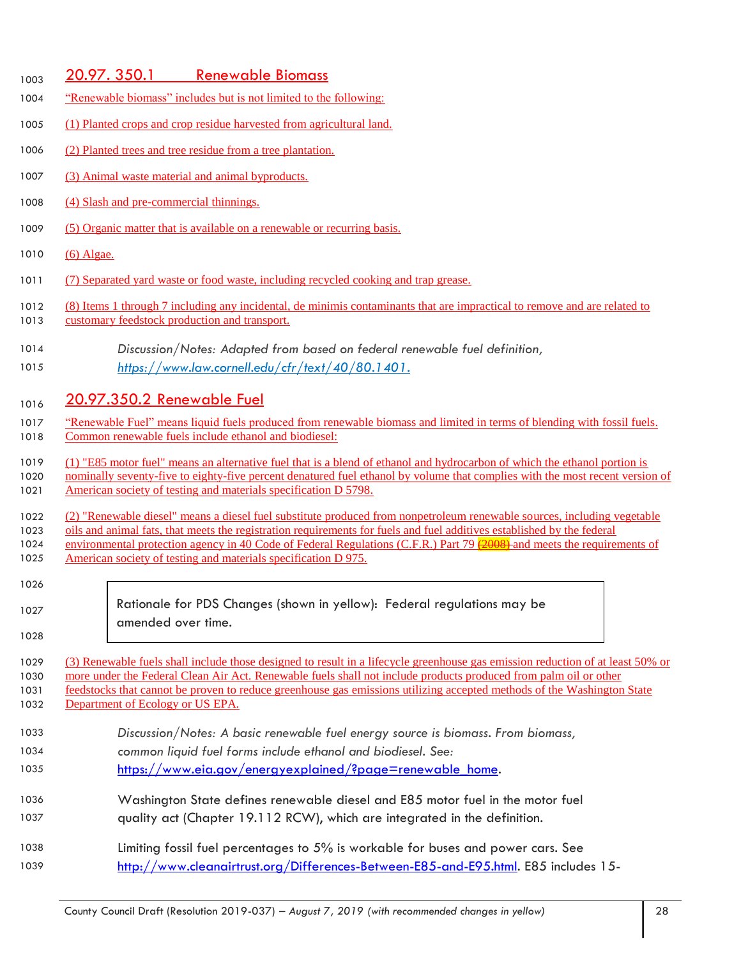#### 1003 20.97. 350.1 Renewable Biomass

- "Renewable biomass" includes but is not limited to the following:
- (1) Planted crops and crop residue harvested from agricultural land.
- (2) Planted trees and tree residue from a tree plantation.
- (3) Animal waste material and animal byproducts.
- (4) Slash and pre-commercial thinnings.
- (5) Organic matter that is available on a renewable or recurring basis.
- (6) Algae.
- 1011 (7) Separated yard waste or food waste, including recycled cooking and trap grease.
- (8) Items 1 through 7 including any incidental, de minimis contaminants that are impractical to remove and are related to
- 1013 customary feedstock production and transport.
- *Discussion/Notes: Adapted from based on federal renewable fuel definition, [https://www.law.cornell.edu/cfr/text/40/80.1401.](https://www.law.cornell.edu/cfr/text/40/80.1401)*

## 1016 20.97.350.2 Renewable Fuel

- 1017 "Renewable Fuel" means liquid fuels produced from renewable biomass and limited in terms of blending with fossil fuels. Common renewable fuels include ethanol and biodiesel:
- (1) "E85 motor fuel" means an alternative fuel that is a blend of ethanol and hydrocarbon of which the ethanol portion is
- 1020 nominally seventy-five to eighty-five percent denatured fuel ethanol by volume that complies with the most recent version of 1021 American society of testing and materials specification D 5798.
- (2) "Renewable diesel" means a diesel fuel substitute produced from nonpetroleum renewable sources, including vegetable
- oils and animal fats, that meets the registration requirements for fuels and fuel additives established by the federal
- 1024 environmental protection agency in 40 Code of Federal Regulations (C.F.R.) Part 79 (2008) and meets the requirements of American society of testing and materials specification D 975.

| 1026 |  |  |
|------|--|--|
| 1027 |  |  |

Rationale for PDS Changes (shown in yellow): Federal regulations may be amended over time.

 (3) Renewable fuels shall include those designed to result in a lifecycle greenhouse gas emission reduction of at least 50% or more under the Federal Clean Air Act. Renewable fuels shall not include products produced from palm oil or other feedstocks that cannot be proven to reduce greenhouse gas emissions utilizing accepted methods of the Washington State 1032 Department of Ecology or US EPA.

- *Discussion/Notes: A basic renewable fuel energy source is biomass. From biomass, common liquid fuel forms include ethanol and biodiesel. See:*
- [https://www.eia.gov/energyexplained/?page=renewable\\_home.](https://www.eia.gov/energyexplained/?page=renewable_home)
- Washington State defines renewable diesel and E85 motor fuel in the motor fuel quality act (Chapter 19.112 RCW), which are integrated in the definition.
- Limiting fossil fuel percentages to 5% is workable for buses and power cars. See [http://www.cleanairtrust.org/Differences-Between-E85-and-E95.html.](http://www.cleanairtrust.org/Differences-Between-E85-and-E95.html) E85 includes 15-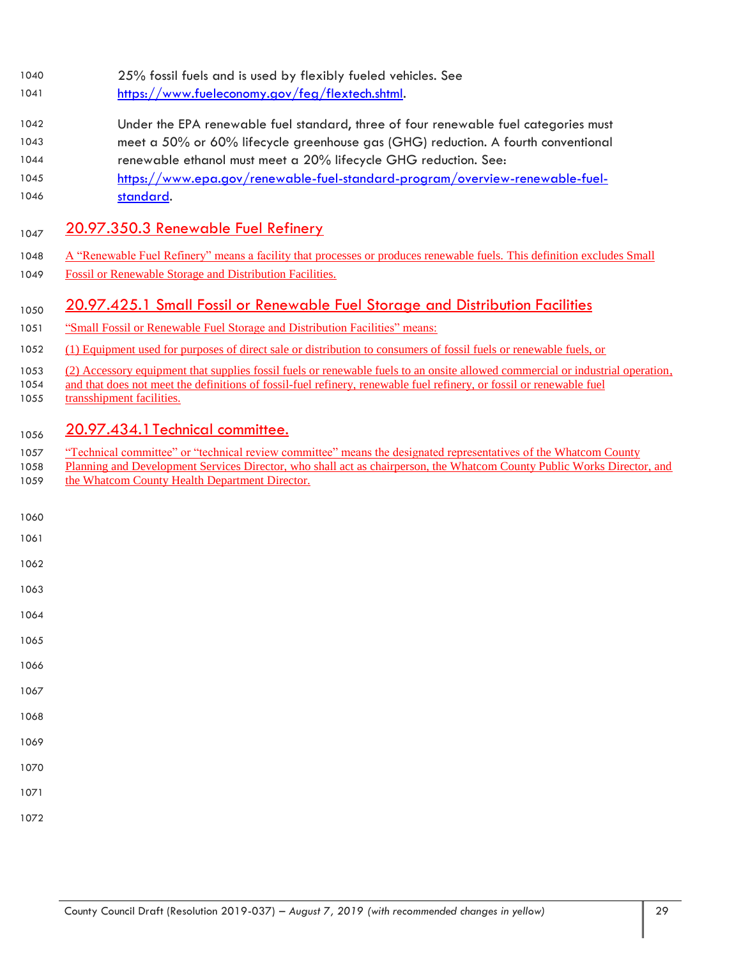- 25% fossil fuels and is used by flexibly fueled vehicles. See
- [https://www.fueleconomy.gov/feg/flextech.shtml.](https://www.fueleconomy.gov/feg/flextech.shtml)
- Under the EPA renewable fuel standard, three of four renewable fuel categories must meet a 50% or 60% lifecycle greenhouse gas (GHG) reduction. A fourth conventional
- renewable ethanol must meet a 20% lifecycle GHG reduction. See:
- [https://www.epa.gov/renewable-fuel-standard-program/overview-renewable-fuel](https://www.epa.gov/renewable-fuel-standard-program/overview-renewable-fuel-standard)[standard.](https://www.epa.gov/renewable-fuel-standard-program/overview-renewable-fuel-standard)

## 1047 20.97.350.3 Renewable Fuel Refinery

- 1048 A "Renewable Fuel Refinery" means a facility that processes or produces renewable fuels. This definition excludes Small
- Fossil or Renewable Storage and Distribution Facilities.

## <sub>1050</sub> 20.97.425.1 Small Fossil or Renewable Fuel Storage and Distribution Facilities

- "Small Fossil or Renewable Fuel Storage and Distribution Facilities" means:
- (1) Equipment used for purposes of direct sale or distribution to consumers of fossil fuels or renewable fuels, or
- (2) Accessory equipment that supplies fossil fuels or renewable fuels to an onsite allowed commercial or industrial operation,
- and that does not meet the definitions of fossil-fuel refinery, renewable fuel refinery, or fossil or renewable fuel 1055 transshipment facilities.

## 1056 20.97.434.1 Technical committee.

- "Technical committee" or "technical review committee" means the designated representatives of the Whatcom County
- 1058 Planning and Development Services Director, who shall act as chairperson, the Whatcom County Public Works Director, and 1059 the Whatcom County Health Department Director.
- 
- 
- 
- 
- 
- 
- 
- 
- 
- 
- 
- 
- 
-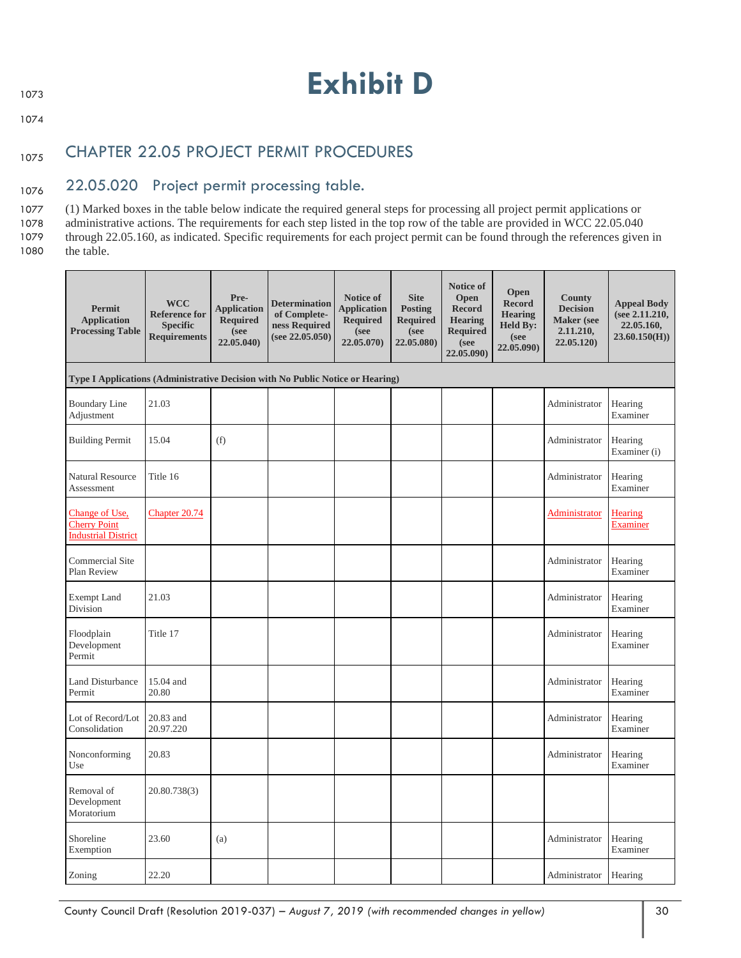1074

## 1075 CHAPTER 22.05 PROJECT PERMIT PROCEDURES

## 1076 22.05.020 Project permit processing table.

 (1) Marked boxes in the table below indicate the required general steps for processing all project permit applications or administrative actions. The requirements for each step listed in the top row of the table are provided in WCC 22.05.040 through 22.05.160, as indicated. Specific requirements for each project permit can be found through the references given in 1080 the table.

| <b>Permit</b><br><b>Application</b><br><b>Processing Table</b>                 | <b>WCC</b><br><b>Reference for</b><br><b>Specific</b><br><b>Requirements</b> | Pre-<br><b>Application</b><br><b>Required</b><br>(see<br>22.05.040) | <b>Determination</b><br>of Complete-<br>ness Required<br>(see 22.05.050) | Notice of<br><b>Application</b><br><b>Required</b><br>(see<br>22.05.070) | <b>Site</b><br><b>Posting</b><br><b>Required</b><br>(see<br>22.05.080) | <b>Notice of</b><br>Open<br><b>Record</b><br><b>Hearing</b><br><b>Required</b><br>(see<br>22.05.090) | Open<br><b>Record</b><br><b>Hearing</b><br><b>Held By:</b><br>(see<br>22.05.090) | <b>County</b><br><b>Decision</b><br><b>Maker</b> (see<br>2.11.210,<br>22.05.120) | <b>Appeal Body</b><br>(see 2.11.210,<br>22.05.160.<br>23.60.150(H) |
|--------------------------------------------------------------------------------|------------------------------------------------------------------------------|---------------------------------------------------------------------|--------------------------------------------------------------------------|--------------------------------------------------------------------------|------------------------------------------------------------------------|------------------------------------------------------------------------------------------------------|----------------------------------------------------------------------------------|----------------------------------------------------------------------------------|--------------------------------------------------------------------|
| Type I Applications (Administrative Decision with No Public Notice or Hearing) |                                                                              |                                                                     |                                                                          |                                                                          |                                                                        |                                                                                                      |                                                                                  |                                                                                  |                                                                    |
| <b>Boundary Line</b><br>Adjustment                                             | 21.03                                                                        |                                                                     |                                                                          |                                                                          |                                                                        |                                                                                                      |                                                                                  | Administrator                                                                    | Hearing<br>Examiner                                                |
| <b>Building Permit</b>                                                         | 15.04                                                                        | (f)                                                                 |                                                                          |                                                                          |                                                                        |                                                                                                      |                                                                                  | Administrator                                                                    | Hearing<br>Examiner (i)                                            |
| <b>Natural Resource</b><br>Assessment                                          | Title 16                                                                     |                                                                     |                                                                          |                                                                          |                                                                        |                                                                                                      |                                                                                  | Administrator                                                                    | Hearing<br>Examiner                                                |
| Change of Use,<br><b>Cherry Point</b><br><b>Industrial District</b>            | Chapter 20.74                                                                |                                                                     |                                                                          |                                                                          |                                                                        |                                                                                                      |                                                                                  | Administrator                                                                    | Hearing<br>Examiner                                                |
| <b>Commercial Site</b><br>Plan Review                                          |                                                                              |                                                                     |                                                                          |                                                                          |                                                                        |                                                                                                      |                                                                                  | Administrator                                                                    | Hearing<br>Examiner                                                |
| <b>Exempt Land</b><br>Division                                                 | 21.03                                                                        |                                                                     |                                                                          |                                                                          |                                                                        |                                                                                                      |                                                                                  | Administrator                                                                    | Hearing<br>Examiner                                                |
| Floodplain<br>Development<br>Permit                                            | Title 17                                                                     |                                                                     |                                                                          |                                                                          |                                                                        |                                                                                                      |                                                                                  | Administrator                                                                    | Hearing<br>Examiner                                                |
| Land Disturbance<br>Permit                                                     | 15.04 and<br>20.80                                                           |                                                                     |                                                                          |                                                                          |                                                                        |                                                                                                      |                                                                                  | Administrator                                                                    | Hearing<br>Examiner                                                |
| Lot of Record/Lot<br>Consolidation                                             | 20.83 and<br>20.97.220                                                       |                                                                     |                                                                          |                                                                          |                                                                        |                                                                                                      |                                                                                  | Administrator                                                                    | Hearing<br>Examiner                                                |
| Nonconforming<br>Use                                                           | 20.83                                                                        |                                                                     |                                                                          |                                                                          |                                                                        |                                                                                                      |                                                                                  | Administrator                                                                    | Hearing<br>Examiner                                                |
| Removal of<br>Development<br>Moratorium                                        | 20.80.738(3)                                                                 |                                                                     |                                                                          |                                                                          |                                                                        |                                                                                                      |                                                                                  |                                                                                  |                                                                    |
| Shoreline<br>Exemption                                                         | 23.60                                                                        | (a)                                                                 |                                                                          |                                                                          |                                                                        |                                                                                                      |                                                                                  | Administrator                                                                    | Hearing<br>Examiner                                                |
| Zoning                                                                         | 22.20                                                                        |                                                                     |                                                                          |                                                                          |                                                                        |                                                                                                      |                                                                                  | Administrator                                                                    | Hearing                                                            |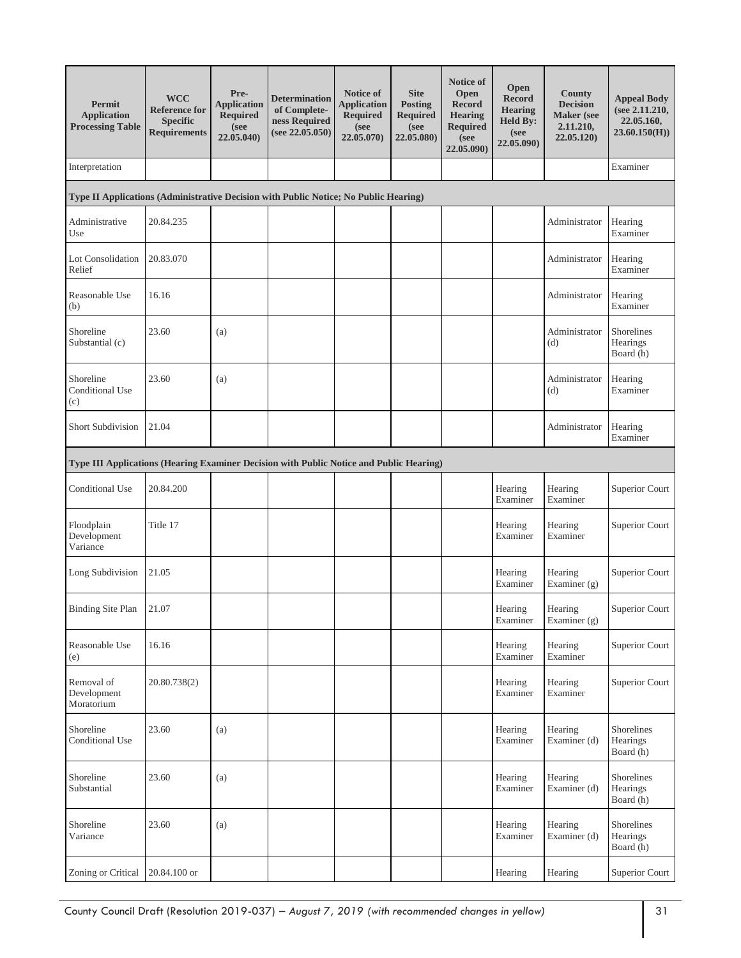| Permit<br><b>Application</b><br><b>Processing Table</b>                                 | <b>WCC</b><br><b>Reference for</b><br><b>Specific</b><br><b>Requirements</b> | Pre-<br><b>Application</b><br>Required<br>(see<br>22.05.040) | <b>Determination</b><br>of Complete-<br>ness Required<br>(see 22.05.050) | Notice of<br><b>Application</b><br><b>Required</b><br>(see<br>22.05.070) | <b>Site</b><br><b>Posting</b><br><b>Required</b><br>(see<br>22.05.080) | <b>Notice of</b><br>Open<br><b>Record</b><br><b>Hearing</b><br>Required<br>(see<br>22.05.090) | <b>Open</b><br><b>Record</b><br><b>Hearing</b><br><b>Held By:</b><br>(see<br>22.05.090) | <b>County</b><br><b>Decision</b><br><b>Maker</b> (see<br>2.11.210,<br>22.05.120) | <b>Appeal Body</b><br>(see 2.11.210,<br>22.05.160,<br>23.60.150(H) |
|-----------------------------------------------------------------------------------------|------------------------------------------------------------------------------|--------------------------------------------------------------|--------------------------------------------------------------------------|--------------------------------------------------------------------------|------------------------------------------------------------------------|-----------------------------------------------------------------------------------------------|-----------------------------------------------------------------------------------------|----------------------------------------------------------------------------------|--------------------------------------------------------------------|
| Interpretation                                                                          |                                                                              |                                                              |                                                                          |                                                                          |                                                                        |                                                                                               |                                                                                         |                                                                                  | Examiner                                                           |
| Type II Applications (Administrative Decision with Public Notice; No Public Hearing)    |                                                                              |                                                              |                                                                          |                                                                          |                                                                        |                                                                                               |                                                                                         |                                                                                  |                                                                    |
| Administrative<br>Use                                                                   | 20.84.235                                                                    |                                                              |                                                                          |                                                                          |                                                                        |                                                                                               |                                                                                         | Administrator                                                                    | Hearing<br>Examiner                                                |
| Lot Consolidation<br>Relief                                                             | 20.83.070                                                                    |                                                              |                                                                          |                                                                          |                                                                        |                                                                                               |                                                                                         | Administrator                                                                    | Hearing<br>Examiner                                                |
| Reasonable Use<br>(b)                                                                   | 16.16                                                                        |                                                              |                                                                          |                                                                          |                                                                        |                                                                                               |                                                                                         | Administrator                                                                    | Hearing<br>Examiner                                                |
| Shoreline<br>Substantial (c)                                                            | 23.60                                                                        | (a)                                                          |                                                                          |                                                                          |                                                                        |                                                                                               |                                                                                         | Administrator<br>(d)                                                             | Shorelines<br>Hearings<br>Board (h)                                |
| Shoreline<br>Conditional Use<br>(c)                                                     | 23.60                                                                        | (a)                                                          |                                                                          |                                                                          |                                                                        |                                                                                               |                                                                                         | Administrator<br>(d)                                                             | Hearing<br>Examiner                                                |
| Short Subdivision                                                                       | 21.04                                                                        |                                                              |                                                                          |                                                                          |                                                                        |                                                                                               |                                                                                         | Administrator                                                                    | Hearing<br>Examiner                                                |
| Type III Applications (Hearing Examiner Decision with Public Notice and Public Hearing) |                                                                              |                                                              |                                                                          |                                                                          |                                                                        |                                                                                               |                                                                                         |                                                                                  |                                                                    |
| Conditional Use                                                                         | 20.84.200                                                                    |                                                              |                                                                          |                                                                          |                                                                        |                                                                                               | Hearing<br>Examiner                                                                     | Hearing<br>Examiner                                                              | Superior Court                                                     |
| Floodplain<br>Development<br>Variance                                                   | Title 17                                                                     |                                                              |                                                                          |                                                                          |                                                                        |                                                                                               | Hearing<br>Examiner                                                                     | Hearing<br>Examiner                                                              | Superior Court                                                     |
| Long Subdivision                                                                        | 21.05                                                                        |                                                              |                                                                          |                                                                          |                                                                        |                                                                                               | Hearing<br>Examiner                                                                     | Hearing<br>Examiner $(g)$                                                        | Superior Court                                                     |
| <b>Binding Site Plan</b>                                                                | 21.07                                                                        |                                                              |                                                                          |                                                                          |                                                                        |                                                                                               | Hearing<br>Examiner                                                                     | Hearing<br>Examiner (g)                                                          | <b>Superior Court</b>                                              |
| Reasonable Use<br>(e)                                                                   | 16.16                                                                        |                                                              |                                                                          |                                                                          |                                                                        |                                                                                               | Hearing<br>Examiner                                                                     | Hearing<br>Examiner                                                              | Superior Court                                                     |
| Removal of<br>Development<br>Moratorium                                                 | 20.80.738(2)                                                                 |                                                              |                                                                          |                                                                          |                                                                        |                                                                                               | Hearing<br>Examiner                                                                     | Hearing<br>Examiner                                                              | Superior Court                                                     |
| Shoreline<br>Conditional Use                                                            | 23.60                                                                        | (a)                                                          |                                                                          |                                                                          |                                                                        |                                                                                               | Hearing<br>Examiner                                                                     | Hearing<br>Examiner (d)                                                          | Shorelines<br>Hearings<br>Board (h)                                |
| Shoreline<br>Substantial                                                                | 23.60                                                                        | (a)                                                          |                                                                          |                                                                          |                                                                        |                                                                                               | Hearing<br>Examiner                                                                     | Hearing<br>Examiner (d)                                                          | Shorelines<br>Hearings<br>Board (h)                                |
| Shoreline<br>Variance                                                                   | 23.60                                                                        | (a)                                                          |                                                                          |                                                                          |                                                                        |                                                                                               | Hearing<br>Examiner                                                                     | Hearing<br>Examiner (d)                                                          | Shorelines<br>Hearings<br>Board (h)                                |
| Zoning or Critical                                                                      | 20.84.100 or                                                                 |                                                              |                                                                          |                                                                          |                                                                        |                                                                                               | Hearing                                                                                 | Hearing                                                                          | Superior Court                                                     |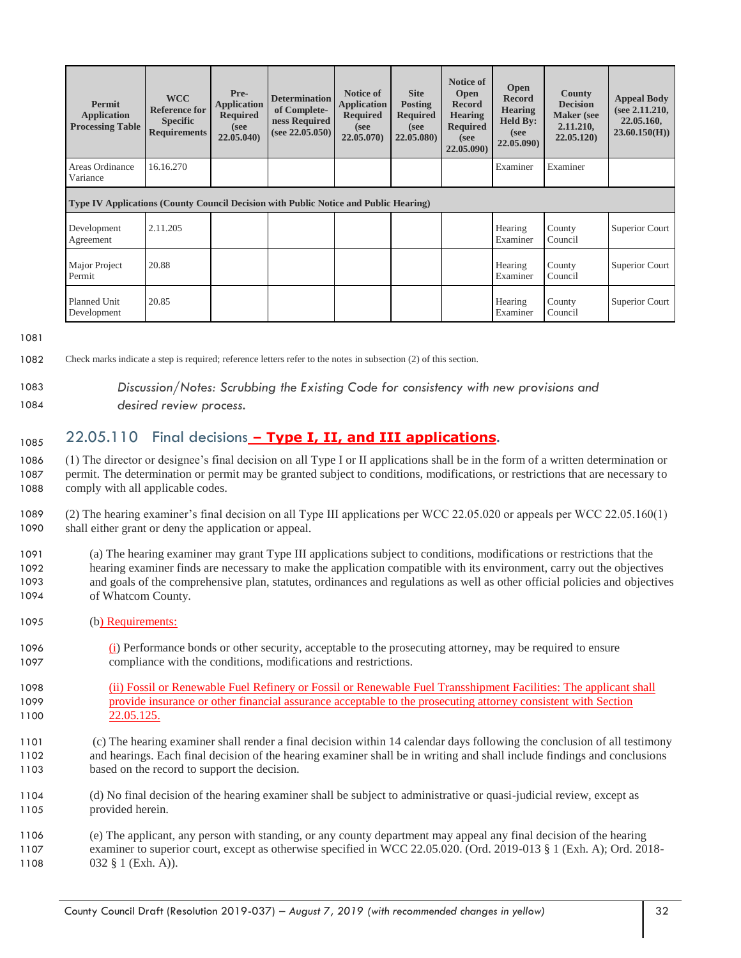| Permit<br><b>Application</b><br><b>Processing Table</b>                                     | <b>WCC</b><br><b>Reference for</b><br><b>Specific</b><br><b>Requirements</b> | Pre-<br><b>Application</b><br><b>Required</b><br>(see<br>22.05.040) | <b>Determination</b><br>of Complete-<br>ness Required<br>(see 22.05.050) | Notice of<br><b>Application</b><br><b>Required</b><br>(see<br>22.05.070 | <b>Site</b><br><b>Posting</b><br><b>Required</b><br>(see<br>22.05.080) | Notice of<br>Open<br><b>Record</b><br><b>Hearing</b><br><b>Required</b><br>(see<br>22.05.090) | <b>Open</b><br><b>Record</b><br><b>Hearing</b><br><b>Held By:</b><br>(see<br>22.05.090) | <b>County</b><br><b>Decision</b><br><b>Maker</b> (see<br>2.11.210,<br>22.05.120 | <b>Appeal Body</b><br>(see 2.11.210,<br>22.05.160,<br>23.60.150(H) |
|---------------------------------------------------------------------------------------------|------------------------------------------------------------------------------|---------------------------------------------------------------------|--------------------------------------------------------------------------|-------------------------------------------------------------------------|------------------------------------------------------------------------|-----------------------------------------------------------------------------------------------|-----------------------------------------------------------------------------------------|---------------------------------------------------------------------------------|--------------------------------------------------------------------|
| Areas Ordinance<br>Variance                                                                 | 16.16.270                                                                    |                                                                     |                                                                          |                                                                         |                                                                        |                                                                                               | Examiner                                                                                | Examiner                                                                        |                                                                    |
| <b>Type IV Applications (County Council Decision with Public Notice and Public Hearing)</b> |                                                                              |                                                                     |                                                                          |                                                                         |                                                                        |                                                                                               |                                                                                         |                                                                                 |                                                                    |
| Development<br>Agreement                                                                    | 2.11.205                                                                     |                                                                     |                                                                          |                                                                         |                                                                        |                                                                                               | Hearing<br>Examiner                                                                     | County<br>Council                                                               | Superior Court                                                     |
| Major Project<br>Permit                                                                     | 20.88                                                                        |                                                                     |                                                                          |                                                                         |                                                                        |                                                                                               | Hearing<br>Examiner                                                                     | County<br>Council                                                               | Superior Court                                                     |
| Planned Unit<br>Development                                                                 | 20.85                                                                        |                                                                     |                                                                          |                                                                         |                                                                        |                                                                                               | Hearing<br>Examiner                                                                     | County<br>Council                                                               | Superior Court                                                     |

1081

- 1082 Check marks indicate a step is required; reference letters refer to the notes in subsection (2) of this section.
- 

#### 1083 *Discussion/Notes: Scrubbing the Existing Code for consistency with new provisions and*  1084 *desired review process.*

## 1085 22.05.110 Final decisions - Type I, II, and III applications.

1086 (1) The director or designee's final decision on all Type I or II applications shall be in the form of a written determination or 1087 permit. The determination or permit may be granted subject to conditions, modifications, or restrictions that are necessary to 1088 comply with all applicable codes.

1089 (2) The hearing examiner's final decision on all Type III applications per WCC 22.05.020 or appeals per WCC 22.05.160(1) 1090 shall either grant or deny the application or appeal.

- 1091 (a) The hearing examiner may grant Type III applications subject to conditions, modifications or restrictions that the 1092 hearing examiner finds are necessary to make the application compatible with its environment, carry out the objectives 1093 and goals of the comprehensive plan, statutes, ordinances and regulations as well as other official policies and objectives 1094 of Whatcom County.
- 1095 (b) Requirements:
- 1096 (i) Performance bonds or other security, acceptable to the prosecuting attorney, may be required to ensure 1097 compliance with the conditions, modifications and restrictions.
- 1098 (ii) Fossil or Renewable Fuel Refinery or Fossil or Renewable Fuel Transshipment Facilities: The applicant shall 1099 provide insurance or other financial assurance acceptable to the prosecuting attorney consistent with Section 1100 22.05.125.
- 1101 (c) The hearing examiner shall render a final decision within 14 calendar days following the conclusion of all testimony 1102 and hearings. Each final decision of the hearing examiner shall be in writing and shall include findings and conclusions 1103 based on the record to support the decision.
- 1104 (d) No final decision of the hearing examiner shall be subject to administrative or quasi-judicial review, except as 1105 provided herein.

1106 (e) The applicant, any person with standing, or any county department may appeal any final decision of the hearing 1107 examiner to superior court, except as otherwise specified in WCC 22.05.020. (Ord. 2019-013 § 1 (Exh. A); Ord. 2018- 1108 032 § 1 (Exh. A)).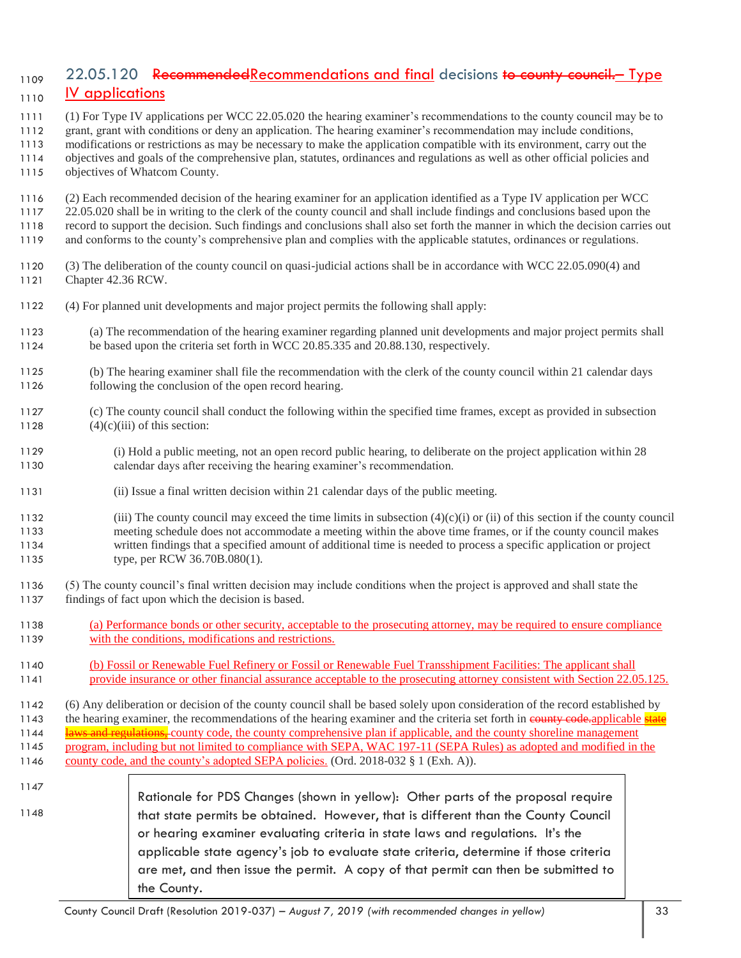## <sub>1109</sub> 22.05.120 RecommendedRecommendations and final decisions to county council. Type **IV applications**

(1) For Type IV applications per WCC 22.05.020 the hearing examiner's recommendations to the county council may be to

- grant, grant with conditions or deny an application. The hearing examiner's recommendation may include conditions, modifications or restrictions as may be necessary to make the application compatible with its environment, carry out the
- objectives and goals of the comprehensive plan, statutes, ordinances and regulations as well as other official policies and
- objectives of Whatcom County.
- (2) Each recommended decision of the hearing examiner for an application identified as a Type IV application per WCC
- 22.05.020 shall be in writing to the clerk of the county council and shall include findings and conclusions based upon the record to support the decision. Such findings and conclusions shall also set forth the manner in which the decision carries out and conforms to the county's comprehensive plan and complies with the applicable statutes, ordinances or regulations.
- (3) The deliberation of the county council on quasi-judicial actions shall be in accordance with WCC 22.05.090(4) and Chapter 42.36 RCW.
- (4) For planned unit developments and major project permits the following shall apply:
- (a) The recommendation of the hearing examiner regarding planned unit developments and major project permits shall be based upon the criteria set forth in WCC 20.85.335 and 20.88.130, respectively.
- (b) The hearing examiner shall file the recommendation with the clerk of the county council within 21 calendar days following the conclusion of the open record hearing.
- (c) The county council shall conduct the following within the specified time frames, except as provided in subsection 1128  $(4)(c)(iii)$  of this section:
- (i) Hold a public meeting, not an open record public hearing, to deliberate on the project application within 28 calendar days after receiving the hearing examiner's recommendation.
- (ii) Issue a final written decision within 21 calendar days of the public meeting.
- (iii) The county council may exceed the time limits in subsection (4)(c)(i) or (ii) of this section if the county council meeting schedule does not accommodate a meeting within the above time frames, or if the county council makes written findings that a specified amount of additional time is needed to process a specific application or project type, per RCW 36.70B.080(1).
- (5) The county council's final written decision may include conditions when the project is approved and shall state the findings of fact upon which the decision is based.
- (a) Performance bonds or other security, acceptable to the prosecuting attorney, may be required to ensure compliance with the conditions, modifications and restrictions.
- (b) Fossil or Renewable Fuel Refinery or Fossil or Renewable Fuel Transshipment Facilities: The applicant shall 1141 provide insurance or other financial assurance acceptable to the prosecuting attorney consistent with Section 22.05.125.
- (6) Any deliberation or decision of the county council shall be based solely upon consideration of the record established by 1143 the hearing examiner, the recommendations of the hearing examiner and the criteria set forth in examiner applicable state 1144 laws and regulations, county code, the county comprehensive plan if applicable, and the county shoreline management program, including but not limited to compliance with SEPA, WAC 197-11 (SEPA Rules) as adopted and modified in the county code, and the county's adopted SEPA policies. (Ord. 2018-032 § 1 (Exh. A)).
- 

Rationale for PDS Changes (shown in yellow): Other parts of the proposal require that state permits be obtained. However, that is different than the County Council or hearing examiner evaluating criteria in state laws and regulations. It's the applicable state agency's job to evaluate state criteria, determine if those criteria are met, and then issue the permit. A copy of that permit can then be submitted to the County.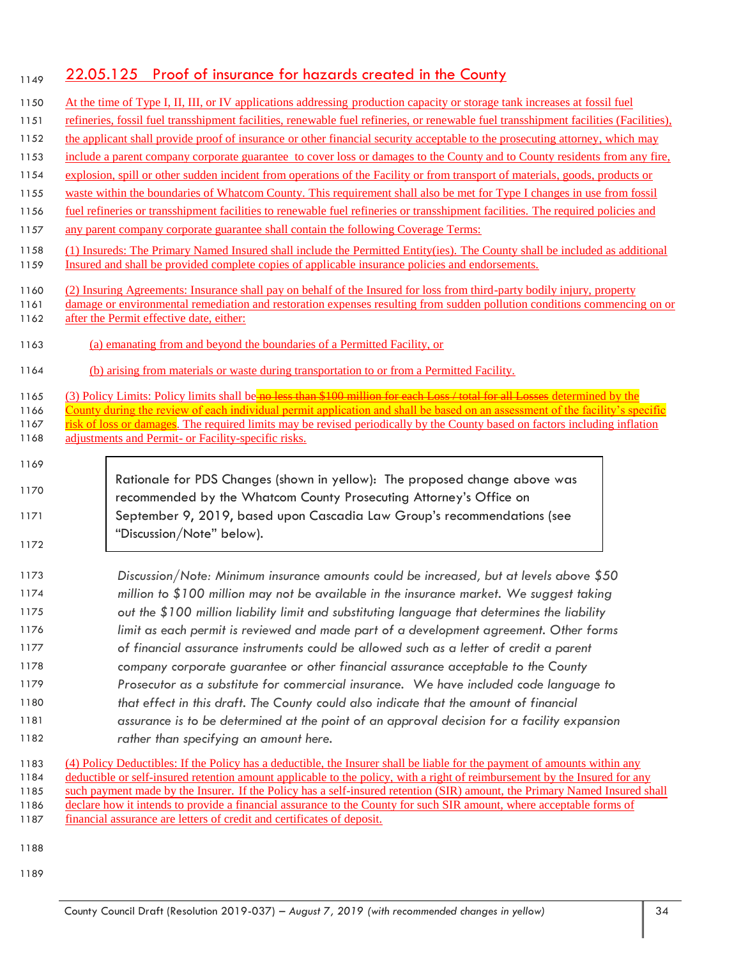## 1149 22.05.125 Proof of insurance for hazards created in the County

| 1150                         | At the time of Type I, II, III, or IV applications addressing production capacity or storage tank increases at fossil fuel                                                                                                                                                                                                                                                                                                                         |
|------------------------------|----------------------------------------------------------------------------------------------------------------------------------------------------------------------------------------------------------------------------------------------------------------------------------------------------------------------------------------------------------------------------------------------------------------------------------------------------|
| 1151                         | refineries, fossil fuel transshipment facilities, renewable fuel refineries, or renewable fuel transshipment facilities (Facilities),                                                                                                                                                                                                                                                                                                              |
| 1152                         | the applicant shall provide proof of insurance or other financial security acceptable to the prosecuting attorney, which may                                                                                                                                                                                                                                                                                                                       |
| 1153                         | include a parent company corporate guarantee to cover loss or damages to the County and to County residents from any fire,                                                                                                                                                                                                                                                                                                                         |
| 1154                         | explosion, spill or other sudden incident from operations of the Facility or from transport of materials, goods, products or                                                                                                                                                                                                                                                                                                                       |
| 1155                         | waste within the boundaries of Whatcom County. This requirement shall also be met for Type I changes in use from fossil                                                                                                                                                                                                                                                                                                                            |
| 1156                         | fuel refineries or transshipment facilities to renewable fuel refineries or transshipment facilities. The required policies and                                                                                                                                                                                                                                                                                                                    |
| 1157                         | any parent company corporate guarantee shall contain the following Coverage Terms:                                                                                                                                                                                                                                                                                                                                                                 |
| 1158<br>1159                 | (1) Insureds: The Primary Named Insured shall include the Permitted Entity(ies). The County shall be included as additional<br>Insured and shall be provided complete copies of applicable insurance policies and endorsements.                                                                                                                                                                                                                    |
| 1160<br>1161<br>1162         | (2) Insuring Agreements: Insurance shall pay on behalf of the Insured for loss from third-party bodily injury, property<br>damage or environmental remediation and restoration expenses resulting from sudden pollution conditions commencing on or<br>after the Permit effective date, either:                                                                                                                                                    |
| 1163                         | (a) emanating from and beyond the boundaries of a Permitted Facility, or                                                                                                                                                                                                                                                                                                                                                                           |
| 1164                         | (b) arising from materials or waste during transportation to or from a Permitted Facility.                                                                                                                                                                                                                                                                                                                                                         |
| 1165<br>1166<br>1167<br>1168 | (3) Policy Limits: Policy limits shall be no less than \$100 million for each Loss / total for all Losses determined by the<br>County during the review of each individual permit application and shall be based on an assessment of the facility's specific<br>risk of loss or damages. The required limits may be revised periodically by the County based on factors including inflation<br>adjustments and Permit- or Facility-specific risks. |
| 1169<br>1170<br>1171<br>1172 | Rationale for PDS Changes (shown in yellow): The proposed change above was<br>recommended by the Whatcom County Prosecuting Attorney's Office on<br>September 9, 2019, based upon Cascadia Law Group's recommendations (see<br>"Discussion/Note" below).                                                                                                                                                                                           |
| 1173                         | Discussion/Note: Minimum insurance amounts could be increased, but at levels above \$50                                                                                                                                                                                                                                                                                                                                                            |
| 1174                         | million to \$100 million may not be available in the insurance market. We suggest taking                                                                                                                                                                                                                                                                                                                                                           |
| 1175                         | out the \$100 million liability limit and substituting language that determines the liability                                                                                                                                                                                                                                                                                                                                                      |
| 1176                         | limit as each permit is reviewed and made part of a development agreement. Other forms                                                                                                                                                                                                                                                                                                                                                             |
| 1177                         | of financial assurance instruments could be allowed such as a letter of credit a parent                                                                                                                                                                                                                                                                                                                                                            |
| 1178                         | company corporate guarantee or other financial assurance acceptable to the County                                                                                                                                                                                                                                                                                                                                                                  |
| 1179                         | Prosecutor as a substitute for commercial insurance. We have included code language to                                                                                                                                                                                                                                                                                                                                                             |
| 1180                         | that effect in this draft. The County could also indicate that the amount of financial                                                                                                                                                                                                                                                                                                                                                             |
| 1181                         | assurance is to be determined at the point of an approval decision for a facility expansion                                                                                                                                                                                                                                                                                                                                                        |
| 1182                         | rather than specifying an amount here.                                                                                                                                                                                                                                                                                                                                                                                                             |
| 1183<br>1184<br>1185         | (4) Policy Deductibles: If the Policy has a deductible, the Insurer shall be liable for the payment of amounts within any<br>deductible or self-insured retention amount applicable to the policy, with a right of reimbursement by the Insured for any<br>such payment made by the Insurer. If the Policy has a self-insured retention (SIR) amount, the Primary Named Insured shall                                                              |

- 1186 declare how it intends to provide a financial assurance to the County for such SIR amount, where acceptable forms of
- 1187 financial assurance are letters of credit and certificates of deposit.

1188

1189